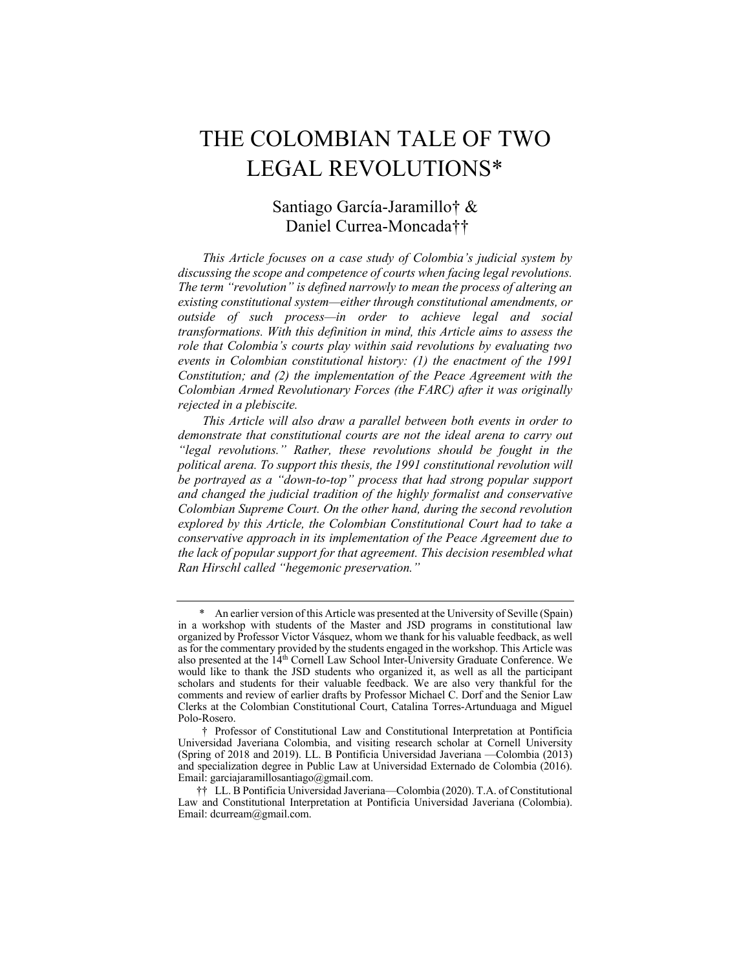# THE COLOMBIAN TALE OF TWO LEGAL REVOLUTIONS\*

## Santiago García-Jaramillo† & Daniel Currea-Moncada††

 *This Article focuses on a case study of Colombia's judicial system by discussing the scope and competence of courts when facing legal revolutions. The term "revolution" is defined narrowly to mean the process of altering an existing constitutional system—either through constitutional amendments, or outside of such process—in order to achieve legal and social transformations. With this definition in mind, this Article aims to assess the role that Colombia's courts play within said revolutions by evaluating two events in Colombian constitutional history: (1) the enactment of the 1991 Constitution; and (2) the implementation of the Peace Agreement with the Colombian Armed Revolutionary Forces (the FARC) after it was originally rejected in a plebiscite.* 

 *This Article will also draw a parallel between both events in order to*  demonstrate that constitutional courts are not the ideal arena to carry out political arena. To support this thesis, the 1991 constitutional revolution will  *be portrayed as a "down-to-top" process that had strong popular support and changed the judicial tradition of the highly formalist and conservative Colombian Supreme Court. On the other hand, during the second revolution*  explored by this Article, the Colombian Constitutional Court had to take a  *conservative approach in its implementation of the Peace Agreement due to the lack of popular support for that agreement. This decision resembled what Ran Hirschl called "hegemonic preservation." "legal revolutions." Rather, these revolutions should be fought in the* 

 \* An earlier version of this Article was presented at the University of Seville (Spain) in a workshop with students of the Master and JSD programs in constitutional law organized by Professor Victor Vásquez, whom we thank for his valuable feedback, as well as for the commentary provided by the students engaged in the workshop. This Article was also presented at the 14<sup>th</sup> Cornell Law School Inter-University Graduate Conference. We would like to thank the JSD students who organized it, as well as all the participant scholars and students for their valuable feedback. We are also very thankful for the comments and review of earlier drafts by Professor Michael C. Dorf and the Senior Law Clerks at the Colombian Constitutional Court, Catalina Torres-Artunduaga and Miguel Polo-Rosero.

 Universidad Javeriana Colombia, and visiting research scholar at Cornell University (Spring of 2018 and 2019). LL. B Pontificia Universidad Javeriana —Colombia (2013) and specialization degree in Public Law at Universidad Externado de Colombia (2016). † Professor of Constitutional Law and Constitutional Interpretation at Pontificia Email: [garciajaramillosantiago@gmail.com.](mailto:garciajaramillosantiago@gmail.com)

 Law and Constitutional Interpretation at Pontificia Universidad Javeriana (Colombia). Email: [dcurream@gmail.com](mailto:dcurream@gmail.com). †† LL. B Pontificia Universidad Javeriana—Colombia (2020). T.A. of Constitutional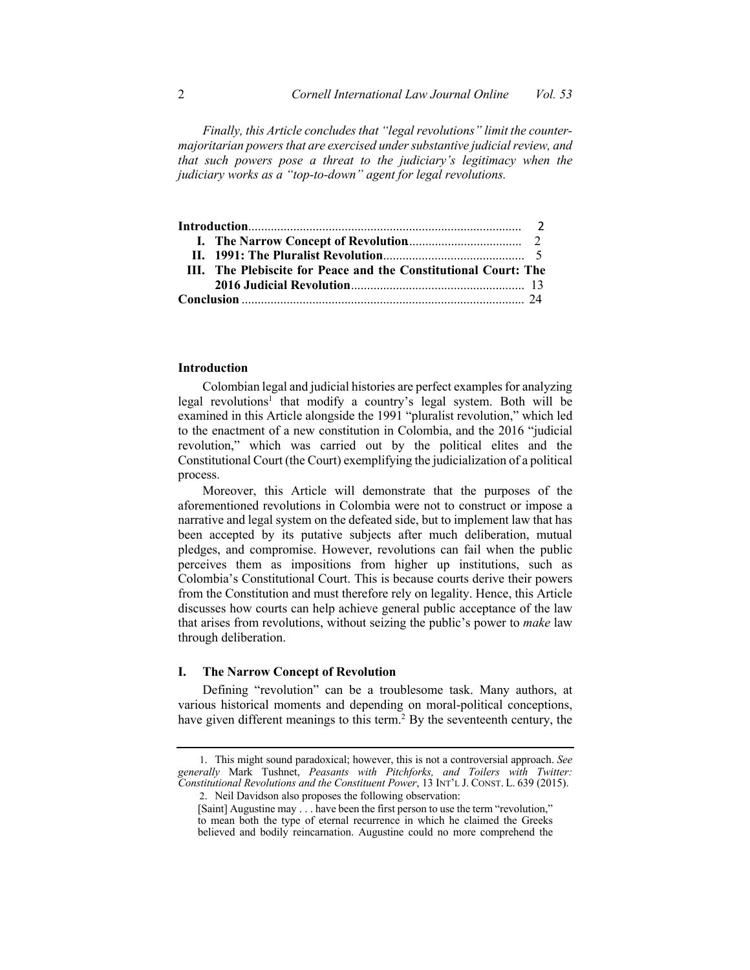*Finally, this Article concludes that "legal revolutions" limit the counter- majoritarian powers that are exercised under substantive judicial review, and that such powers pose a threat to the judiciary's legitimacy when the judiciary works as a "top-to-down" agent for legal revolutions.* 

| III. The Plebiscite for Peace and the Constitutional Court: The |  |
|-----------------------------------------------------------------|--|
|                                                                 |  |
|                                                                 |  |

#### **Introduction**

 Colombian legal and judicial histories are perfect examples for analyzing legal revolutions<sup>1</sup> that modify a country's legal system. Both will be to the enactment of a new constitution in Colombia, and the 2016 "judicial revolution," which was carried out by the political elites and the Constitutional Court (the Court) exemplifying the judicialization of a political examined in this Article alongside the 1991 "pluralist revolution," which led process.

 Moreover, this Article will demonstrate that the purposes of the aforementioned revolutions in Colombia were not to construct or impose a narrative and legal system on the defeated side, but to implement law that has been accepted by its putative subjects after much deliberation, mutual pledges, and compromise. However, revolutions can fail when the public perceives them as impositions from higher up institutions, such as Colombia's Constitutional Court. This is because courts derive their powers from the Constitution and must therefore rely on legality. Hence, this Article discusses how courts can help achieve general public acceptance of the law that arises from revolutions, without seizing the public's power to *make* law through deliberation.

#### **I. The Narrow Concept of Revolution**

 various historical moments and depending on moral-political conceptions, have given different meanings to this term.<sup>2</sup> By the seventeenth century, the Defining "revolution" can be a troublesome task. Many authors, at

 1. This might sound paradoxical; however, this is not a controversial approach. *See generally* Mark Tushnet, *Peasants with Pitchforks, and Toilers with Twitter: Constitutional Revolutions and the Constituent Power*, 13 INT'L J. CONST. L. 639 (2015).

 2. Neil Davidson also proposes the following observation:

 [Saint] Augustine may . . . have been the first person to use the term "revolution," to mean both the type of eternal recurrence in which he claimed the Greeks believed and bodily reincarnation. Augustine could no more comprehend the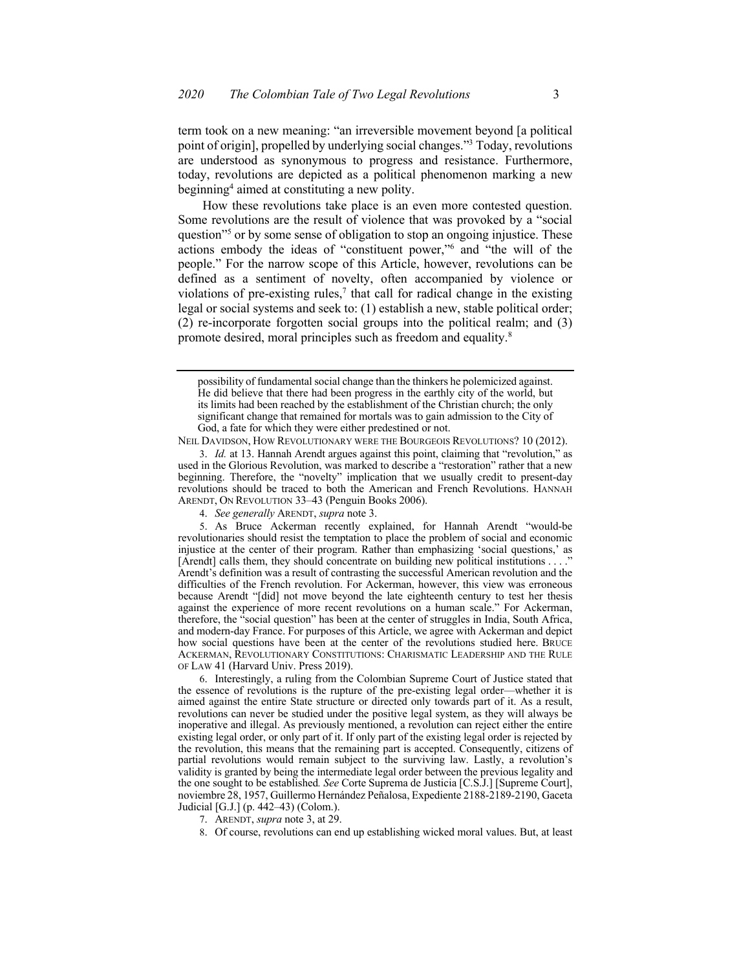term took on a new meaning: "an irreversible movement beyond [a political point of origin], propelled by underlying social changes."3 Today, revolutions are understood as synonymous to progress and resistance. Furthermore, today, revolutions are depicted as a political phenomenon marking a new beginning4 aimed at constituting a new polity.

 How these revolutions take place is an even more contested question. Some revolutions are the result of violence that was provoked by a "social actions embody the ideas of "constituent power,"6 and "the will of the people." For the narrow scope of this Article, however, revolutions can be defined as a sentiment of novelty, often accompanied by violence or violations of pre-existing rules, $7$  that call for radical change in the existing legal or social systems and seek to: (1) establish a new, stable political order; (2) re-incorporate forgotten social groups into the political realm; and (3) promote desired, moral principles such as freedom and equality.<sup>8</sup> question"<sup>5</sup> or by some sense of obligation to stop an ongoing injustice. These

NEIL DAVIDSON, HOW REVOLUTIONARY WERE THE BOURGEOIS REVOLUTIONS? 10 (2012).

 3. *Id.* at 13. Hannah Arendt argues against this point, claiming that "revolution," as used in the Glorious Revolution, was marked to describe a "restoration" rather that a new beginning. Therefore, the "novelty" implication that we usually credit to present-day revolutions should be traced to both the American and French Revolutions. HANNAH ARENDT, ON REVOLUTION 33–43 (Penguin Books 2006).

4. *See generally* ARENDT, *supra* note 3.

Ì its limits had been reached by the establishment of the Christian church; the only significant change that remained for mortals was to gain admission to the City of God, a fate for which they were either predestined or not. possibility of fundamental social change than the thinkers he polemicized against. He did believe that there had been progress in the earthly city of the world, but

 5. As Bruce Ackerman recently explained, for Hannah Arendt "would-be revolutionaries should resist the temptation to place the problem of social and economic injustice at the center of their program. Rather than emphasizing 'social questions,' as [Arendt] calls them, they should concentrate on building new political institutions . . . ." Arendt's definition was a result of contrasting the successful American revolution and the difficulties of the French revolution. For Ackerman, however, this view was erroneous because Arendt "[did] not move beyond the late eighteenth century to test her thesis against the experience of more recent revolutions on a human scale." For Ackerman, therefore, the "social question" has been at the center of struggles in India, South Africa, and modern-day France. For purposes of this Article, we agree with Ackerman and depict how social questions have been at the center of the revolutions studied here. BRUCE OF LAW 41 (Harvard Univ. Press 2019). ACKERMAN, REVOLUTIONARY CONSTITUTIONS: CHARISMATIC LEADERSHIP AND THE RULE

 6. Interestingly, a ruling from the Colombian Supreme Court of Justice stated that the essence of revolutions is the rupture of the pre-existing legal order—whether it is aimed against the entire State structure or directed only towards part of it. As a result, revolutions can never be studied under the positive legal system, as they will always be inoperative and illegal. As previously mentioned, a revolution can reject either the entire existing legal order, or only part of it. If only part of the existing legal order is rejected by the revolution, this means that the remaining part is accepted. Consequently, citizens of partial revolutions would remain subject to the surviving law. Lastly, a revolution's validity is granted by being the intermediate legal order between the previous legality and the one sought to be established*. See* Corte Suprema de Justicia [C.S.J.] [Supreme Court], noviembre 28, 1957, Guillermo Hernández Peñalosa, Expediente 2188-2189-2190, Gaceta Judicial [G.J.] (p. 442–43) (Colom.).

<sup>7.</sup> ARENDT, *supra* note 3, at 29.

 8. Of course, revolutions can end up establishing wicked moral values. But, at least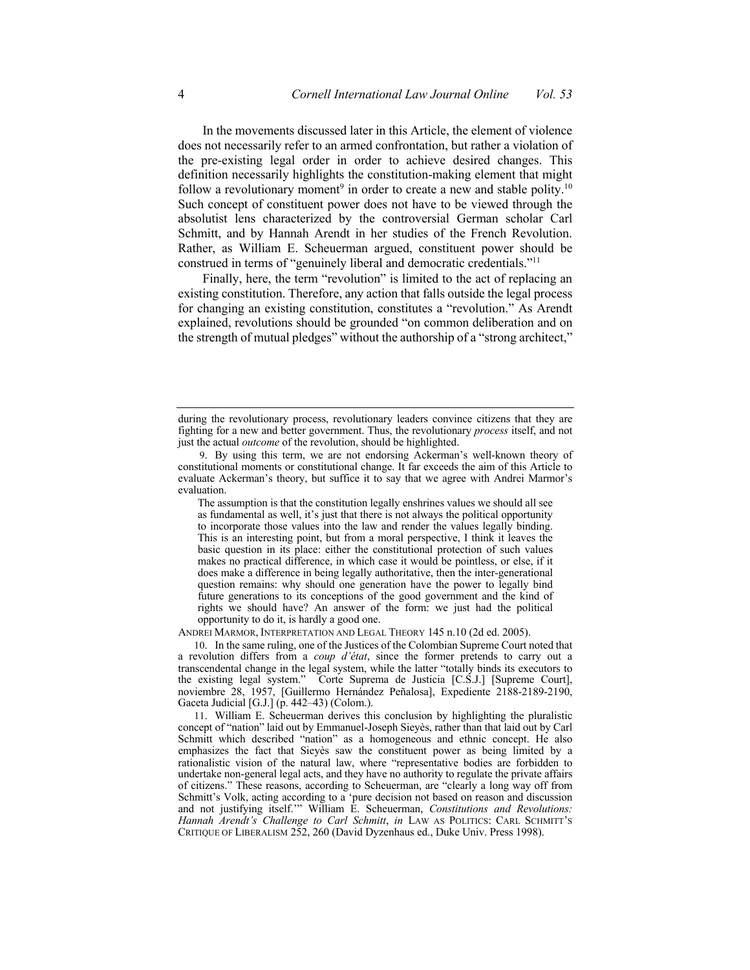In the movements discussed later in this Article, the element of violence does not necessarily refer to an armed confrontation, but rather a violation of the pre-existing legal order in order to achieve desired changes. This definition necessarily highlights the constitution-making element that might follow a revolutionary moment<sup>9</sup> in order to create a new and stable polity.<sup>10</sup> Such concept of constituent power does not have to be viewed through the absolutist lens characterized by the controversial German scholar Carl Schmitt, and by Hannah Arendt in her studies of the French Revolution. Rather, as William E. Scheuerman argued, constituent power should be construed in terms of "genuinely liberal and democratic credentials."11

Finally, here, the term "revolution" is limited to the act of replacing an existing constitution. Therefore, any action that falls outside the legal process for changing an existing constitution, constitutes a "revolution." As Arendt explained, revolutions should be grounded "on common deliberation and on the strength of mutual pledges" without the authorship of a "strong architect,"

 The assumption is that the constitution legally enshrines values we should all see as fundamental as well, it's just that there is not always the political opportunity to incorporate those values into the law and render the values legally binding. This is an interesting point, but from a moral perspective, I think it leaves the basic question in its place: either the constitutional protection of such values makes no practical difference, in which case it would be pointless, or else, if it does make a difference in being legally authoritative, then the inter-generational question remains: why should one generation have the power to legally bind future generations to its conceptions of the good government and the kind of rights we should have? An answer of the form: we just had the political opportunity to do it, is hardly a good one.

ANDREI MARMOR, INTERPRETATION AND LEGAL THEORY 145 n.10 (2d ed. 2005).

 10. In the same ruling, one of the Justices of the Colombian Supreme Court noted that a revolution differs from a *coup d'état*, since the former pretends to carry out a transcendental change in the legal system, while the latter "totally binds its executors to the existing legal system." Corte Suprema de Justicia [C.S.J.] [Supreme Court], noviembre 28, 1957, [Guillermo Hernández Peñalosa], Expediente 2188-2189-2190, Gaceta Judicial [G.J.] (p. 442–43) (Colom.).

 11. William E. Scheuerman derives this conclusion by highlighting the pluralistic concept of "nation" laid out by Emmanuel-Joseph Sieyès, rather than that laid out by Carl Schmitt which described "nation" as a homogeneous and ethnic concept. He also emphasizes the fact that Sieyès saw the constituent power as being limited by a rationalistic vision of the natural law, where "representative bodies are forbidden to undertake non-general legal acts, and they have no authority to regulate the private affairs of citizens." These reasons, according to Scheuerman, are "clearly a long way off from Schmitt's Volk, acting according to a 'pure decision not based on reason and discussion and not justifying itself.'" William E. Scheuerman, *Constitutions and Revolutions: Hannah Arendt's Challenge to Carl Schmitt*, *in* LAW AS POLITICS: CARL SCHMITT'S CRITIQUE OF LIBERALISM 252, 260 (David Dyzenhaus ed., Duke Univ. Press 1998).

 during the revolutionary process, revolutionary leaders convince citizens that they are fighting for a new and better government. Thus, the revolutionary *process* itself, and not just the actual *outcome* of the revolution, should be highlighted.

 9. By using this term, we are not endorsing Ackerman's well-known theory of constitutional moments or constitutional change. It far exceeds the aim of this Article to evaluate Ackerman's theory, but suffice it to say that we agree with Andrei Marmor's evaluation.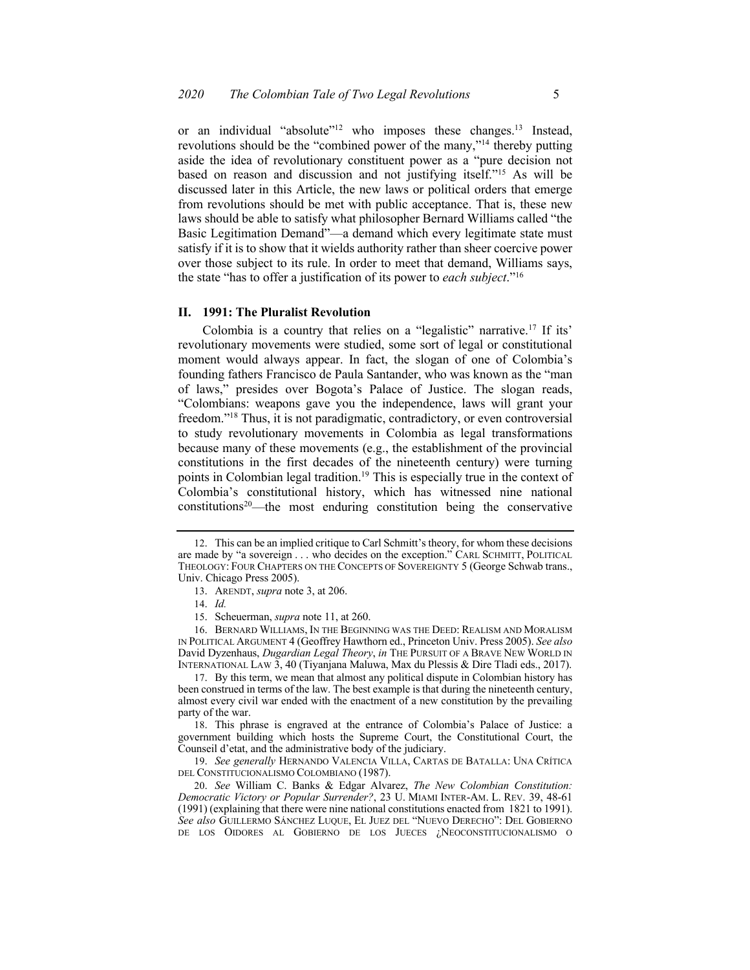or an individual "absolute"<sup>12</sup> who imposes these changes.<sup>13</sup> Instead, revolutions should be the "combined power of the many,"14 thereby putting aside the idea of revolutionary constituent power as a "pure decision not based on reason and discussion and not justifying itself."15 As will be discussed later in this Article, the new laws or political orders that emerge from revolutions should be met with public acceptance. That is, these new laws should be able to satisfy what philosopher Bernard Williams called "the satisfy if it is to show that it wields authority rather than sheer coercive power over those subject to its rule. In order to meet that demand, Williams says, Basic Legitimation Demand"—a demand which every legitimate state must the state "has to offer a justification of its power to *each subject*."16

#### **II. 1991: The Pluralist Revolution**

 Colombia is a country that relies on a "legalistic" [narrative.17](https://narrative.17) If its' revolutionary movements were studied, some sort of legal or constitutional moment would always appear. In fact, the slogan of one of Colombia's founding fathers Francisco de Paula Santander, who was known as the "man of laws," presides over Bogota's Palace of Justice. The slogan reads, "Colombians: weapons gave you the independence, laws will grant your freedom."18 Thus, it is not paradigmatic, contradictory, or even controversial to study revolutionary movements in Colombia as legal transformations constitutions in the first decades of the nineteenth century) were turning  $constitutions<sup>20</sup>$ —the most enduring constitution being the conservative because many of these movements (e.g., the establishment of the provincial points in Colombian legal tradition.<sup>19</sup> This is especially true in the context of Colombia's constitutional history, which has witnessed nine national

15. Scheuerman, *supra* note 11, at 260.

 16. BERNARD WILLIAMS, IN THE BEGINNING WAS THE DEED: REALISM AND MORALISM IN POLITICAL ARGUMENT 4 (Geoffrey Hawthorn ed., Princeton Univ. Press 2005). *See also*  David Dyzenhaus, *Dugardian Legal Theory*, *in* THE PURSUIT OF A BRAVE NEW WORLD IN INTERNATIONAL LAW 3, 40 (Tiyanjana Maluwa, Max du Plessis & Dire Tladi eds., 2017).

 17. By this term, we mean that almost any political dispute in Colombian history has been construed in terms of the law. The best example is that during the nineteenth century, almost every civil war ended with the enactment of a new constitution by the prevailing party of the war.

 18. This phrase is engraved at the entrance of Colombia's Palace of Justice: a government building which hosts the Supreme Court, the Constitutional Court, the Counseil d'etat, and the administrative body of the judiciary.

 19. *See generally* HERNANDO VALENCIA VILLA, CARTAS DE BATALLA: UNA CRÍTICA DEL CONSTITUCIONALISMO COLOMBIANO (1987).

 20. *See* William C. Banks & Edgar Alvarez, *The New Colombian Constitution: Democratic Victory or Popular Surrender?*, 23 U. MIAMI INTER-AM. L. REV. 39, 48-61 (1991) (explaining that there were nine national constitutions enacted from 1821 to 1991). *See also* GUILLERMO SÁNCHEZ LUQUE, EL JUEZ DEL "NUEVO DERECHO": DEL GOBIERNO DE LOS OIDORES AL GOBIERNO DE LOS JUECES ¿NEOCONSTITUCIONALISMO O

 12. This can be an implied critique to Carl Schmitt's theory, for whom these decisions are made by "a sovereign . . . who decides on the exception." CARL SCHMITT, POLITICAL THEOLOGY: FOUR CHAPTERS ON THE CONCEPTS OF SOVEREIGNTY 5 (George Schwab trans., Univ. Chicago Press 2005).

<sup>13.</sup> ARENDT, *supra* note 3, at 206.

<sup>14.</sup> *Id.*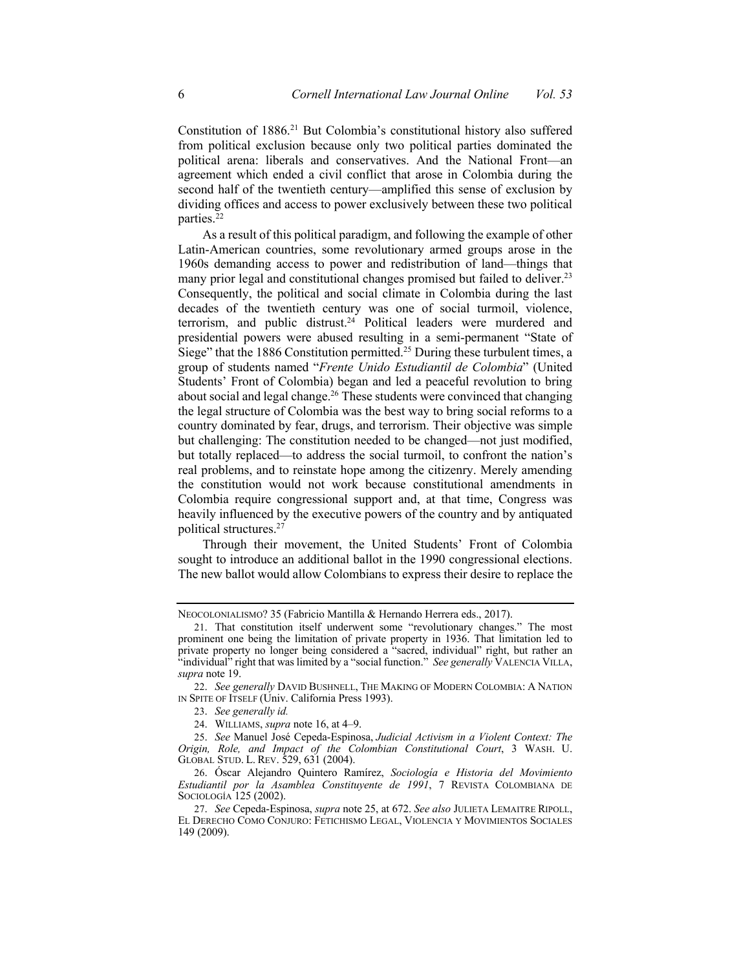Constitution of 1886.<sup>21</sup> But Colombia's constitutional history also suffered from political exclusion because only two political parties dominated the political arena: liberals and conservatives. And the National Front—an agreement which ended a civil conflict that arose in Colombia during the second half of the twentieth century—amplified this sense of exclusion by dividing offices and access to power exclusively between these two political parties.<sup>22</sup>

 As a result of this political paradigm, and following the example of other Latin-American countries, some revolutionary armed groups arose in the 1960s demanding access to power and redistribution of land—things that many prior legal and constitutional changes promised but failed to deliver.<sup>23</sup> Consequently, the political and social climate in Colombia during the last decades of the twentieth century was one of social turmoil, violence, terrorism, and public distrust.<sup>24</sup> Political leaders were murdered and presidential powers were abused resulting in a semi-permanent "State of Siege" that the 1886 Constitution permitted.<sup>25</sup> During these turbulent times, a group of students named "*Frente Unido Estudiantil de Colombia*" (United Students' Front of Colombia) began and led a peaceful revolution to bring about social and legal change.<sup>26</sup> These students were convinced that changing the legal structure of Colombia was the best way to bring social reforms to a country dominated by fear, drugs, and terrorism. Their objective was simple but challenging: The constitution needed to be changed—not just modified, but totally replaced—to address the social turmoil, to confront the nation's real problems, and to reinstate hope among the citizenry. Merely amending the constitution would not work because constitutional amendments in Colombia require congressional support and, at that time, Congress was heavily influenced by the executive powers of the country and by antiquated political [structures.27](https://structures.27)

 Through their movement, the United Students' Front of Colombia sought to introduce an additional ballot in the 1990 congressional elections. The new ballot would allow Colombians to express their desire to replace the

 NEOCOLONIALISMO? 35 (Fabricio Mantilla & Hernando Herrera eds., 2017).

 21. That constitution itself underwent some "revolutionary changes." The most prominent one being the limitation of private property in 1936. That limitation led to private property no longer being considered a "sacred, individual" right, but rather an "individual" right that was limited by a "social function." *See generally* VALENCIA VILLA, *supra* note 19.

 22. *See generally* DAVID BUSHNELL, THE MAKING OF MODERN COLOMBIA: A NATION IN SPITE OF ITSELF (Univ. California Press 1993).

 23. *See generally id.* 

<sup>24.</sup> WILLIAMS, *supra* note 16, at 4–9.

 25. *See* Manuel José Cepeda-Espinosa, *Judicial Activism in a Violent Context: The Origin, Role, and Impact of the Colombian Constitutional Court*, 3 WASH. U. GLOBAL STUD. L. REV. 529, 631 (2004).

 26. Óscar Alejandro Quintero Ramírez, *Sociología e Historia del Movimiento Estudiantil por la Asamblea Constituyente de 1991*, 7 REVISTA COLOMBIANA DE SOCIOLOGÍA 125 (2002).

 EL DERECHO COMO CONJURO: FETICHISMO LEGAL, VIOLENCIA Y MOVIMIENTOS SOCIALES 27. *See* Cepeda-Espinosa, *supra* note 25, at 672. *See also* JULIETA LEMAITRE RIPOLL, 149 (2009).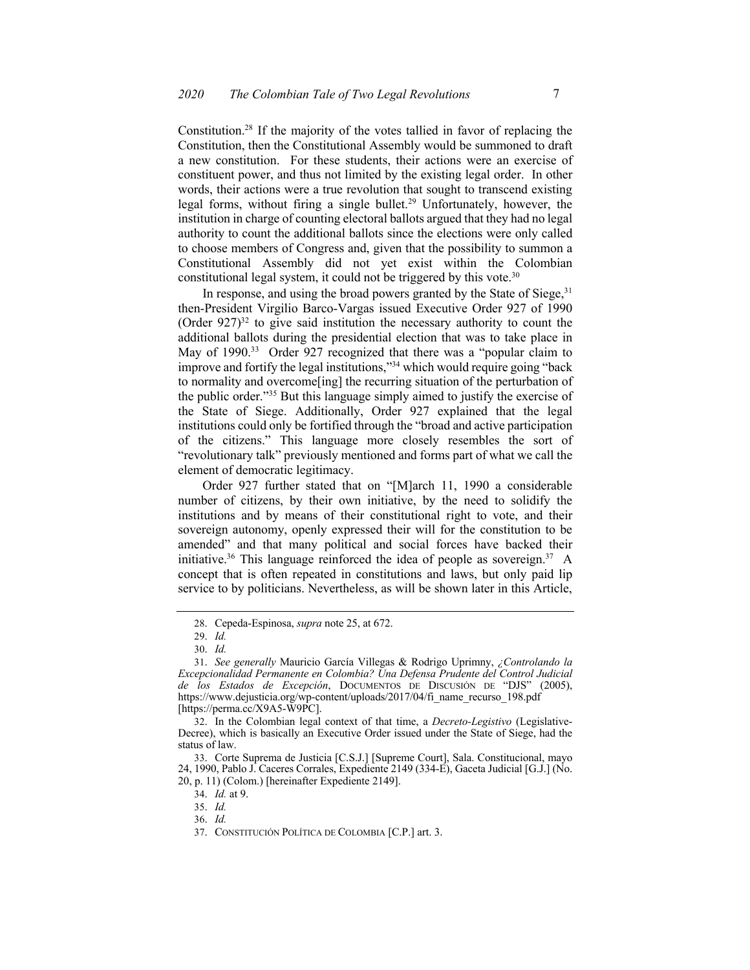[Constitution.28](https://Constitution.28) If the majority of the votes tallied in favor of replacing the Constitution, then the Constitutional Assembly would be summoned to draft a new constitution. For these students, their actions were an exercise of constituent power, and thus not limited by the existing legal order. In other words, their actions were a true revolution that sought to transcend existing legal forms, without firing a single bullet.<sup>29</sup> Unfortunately, however, the institution in charge of counting electoral ballots argued that they had no legal authority to count the additional ballots since the elections were only called to choose members of Congress and, given that the possibility to summon a Constitutional Assembly did not yet exist within the Colombian constitutional legal system, it could not be triggered by this vote. $30$ 

In response, and using the broad powers granted by the State of Siege, 31 then-President Virgilio Barco-Vargas issued Executive Order 927 of 1990 (Order  $927$ )<sup>32</sup> to give said institution the necessary authority to count the additional ballots during the presidential election that was to take place in May of 1990.<sup>33</sup> Order 927 recognized that there was a "popular claim to improve and fortify the legal institutions,"34 which would require going "back to normality and overcome[ing] the recurring situation of the perturbation of the public order."35 But this language simply aimed to justify the exercise of the State of Siege. Additionally, Order 927 explained that the legal institutions could only be fortified through the "broad and active participation of the citizens." This language more closely resembles the sort of "revolutionary talk" previously mentioned and forms part of what we call the element of democratic legitimacy.

 Order 927 further stated that on "[M]arch 11, 1990 a considerable number of citizens, by their own initiative, by the need to solidify the institutions and by means of their constitutional right to vote, and their sovereign autonomy, openly expressed their will for the constitution to be amended" and that many political and social forces have backed their initiative.<sup>36</sup> This language reinforced the idea of people as sovereign.<sup>37</sup> A concept that is often repeated in constitutions and laws, but only paid lip service to by politicians. Nevertheless, as will be shown later in this Article,

34. *Id.* at 9.

<sup>28.</sup> Cepeda-Espinosa, *supra* note 25, at 672.

<sup>29.</sup> *Id.* 

<sup>30.</sup> *Id.* 

 31. *See generally* Mauricio García Villegas & Rodrigo Uprimny, *¿Controlando la Excepcionalidad Permanente en Colombia? Una Defensa Prudente del Control Judicial de los Estados de Excepción*, DOCUMENTOS DE DISCUSIÓN DE "DJS" (2005), [https://www.dejusticia.org/wp-content/uploads/2017/04/fi\\_name\\_recurso\\_198.pdf](https://www.dejusticia.org/wp-content/uploads/2017/04/fi_name_recurso_198.pdf) [\[https://perma.cc/X9A5-W9PC\]](https://perma.cc/X9A5-W9PC).

 32. In the Colombian legal context of that time, a *Decreto-Legistivo* (Legislative- Decree), which is basically an Executive Order issued under the State of Siege, had the status of law.

 33. Corte Suprema de Justicia [C.S.J.] [Supreme Court], Sala. Constitucional, mayo 24, 1990, Pablo J. Caceres Corrales, Expediente 2149 (334-E), Gaceta Judicial [G.J.] (No. 20, p. 11) (Colom.) [hereinafter Expediente 2149].

<sup>35.</sup> *Id.* 

<sup>36.</sup> *Id.* 

<sup>37.</sup> CONSTITUCIÓN POLÍTICA DE COLOMBIA [C.P.] art. 3.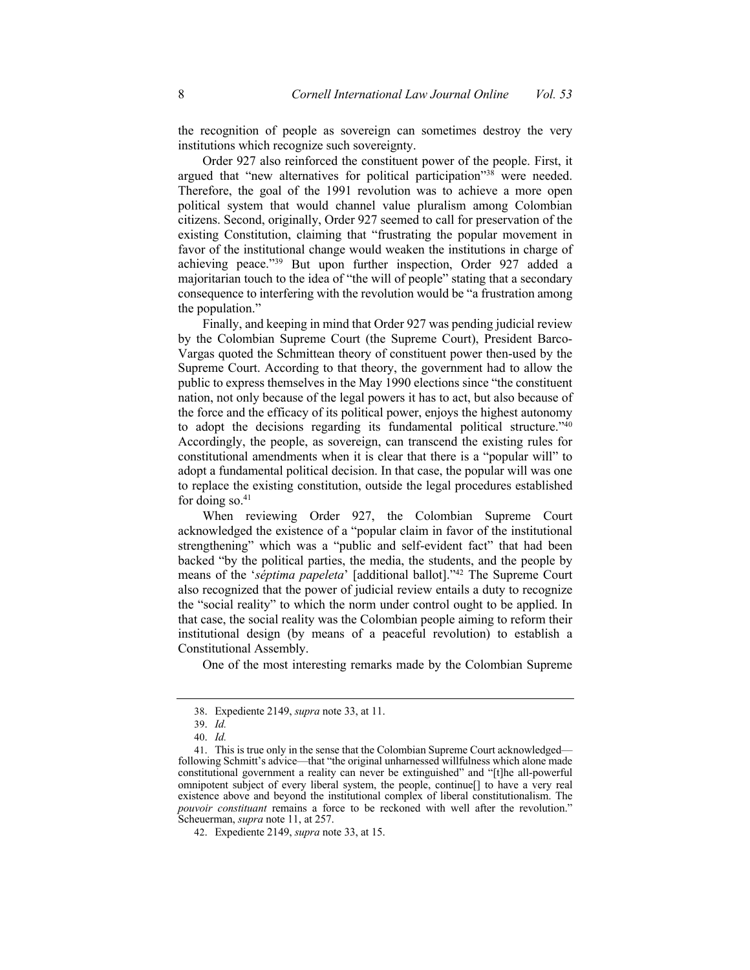the recognition of people as sovereign can sometimes destroy the very institutions which recognize such sovereignty.

 Order 927 also reinforced the constituent power of the people. First, it argued that "new alternatives for political participation"<sup>38</sup> were needed. Therefore, the goal of the 1991 revolution was to achieve a more open political system that would channel value pluralism among Colombian citizens. Second, originally, Order 927 seemed to call for preservation of the existing Constitution, claiming that "frustrating the popular movement in favor of the institutional change would weaken the institutions in charge of achieving peace."39 But upon further inspection, Order 927 added a majoritarian touch to the idea of "the will of people" stating that a secondary consequence to interfering with the revolution would be "a frustration among the population."

 Finally, and keeping in mind that Order 927 was pending judicial review by the Colombian Supreme Court (the Supreme Court), President Barco- Vargas quoted the Schmittean theory of constituent power then-used by the Supreme Court. According to that theory, the government had to allow the public to express themselves in the May 1990 elections since "the constituent nation, not only because of the legal powers it has to act, but also because of the force and the efficacy of its political power, enjoys the highest autonomy to adopt the decisions regarding its fundamental political structure."<sup>40</sup> Accordingly, the people, as sovereign, can transcend the existing rules for constitutional amendments when it is clear that there is a "popular will" to adopt a fundamental political decision. In that case, the popular will was one to replace the existing constitution, outside the legal procedures established for doing so. $41$ 

 When reviewing Order 927, the Colombian Supreme Court acknowledged the existence of a "popular claim in favor of the institutional strengthening" which was a "public and self-evident fact" that had been backed "by the political parties, the media, the students, and the people by means of the '*séptima papeleta*' [additional ballot]."42 The Supreme Court also recognized that the power of judicial review entails a duty to recognize the "social reality" to which the norm under control ought to be applied. In that case, the social reality was the Colombian people aiming to reform their institutional design (by means of a peaceful revolution) to establish a Constitutional Assembly.

One of the most interesting remarks made by the Colombian Supreme

 38. Expediente 2149, *supra* note 33, at 11.

<sup>39.</sup> *Id.* 

<sup>40.</sup> *Id.* 

 41. This is true only in the sense that the Colombian Supreme Court acknowledged— following Schmitt's advice—that "the original unharnessed willfulness which alone made constitutional government a reality can never be extinguished" and "[t]he all-powerful omnipotent subject of every liberal system, the people, continue[] to have a very real existence above and beyond the institutional complex of liberal constitutionalism. The *pouvoir constituant* remains a force to be reckoned with well after the revolution." Scheuerman, *supra* note 11, at 257.

 42. Expediente 2149, *supra* note 33, at 15.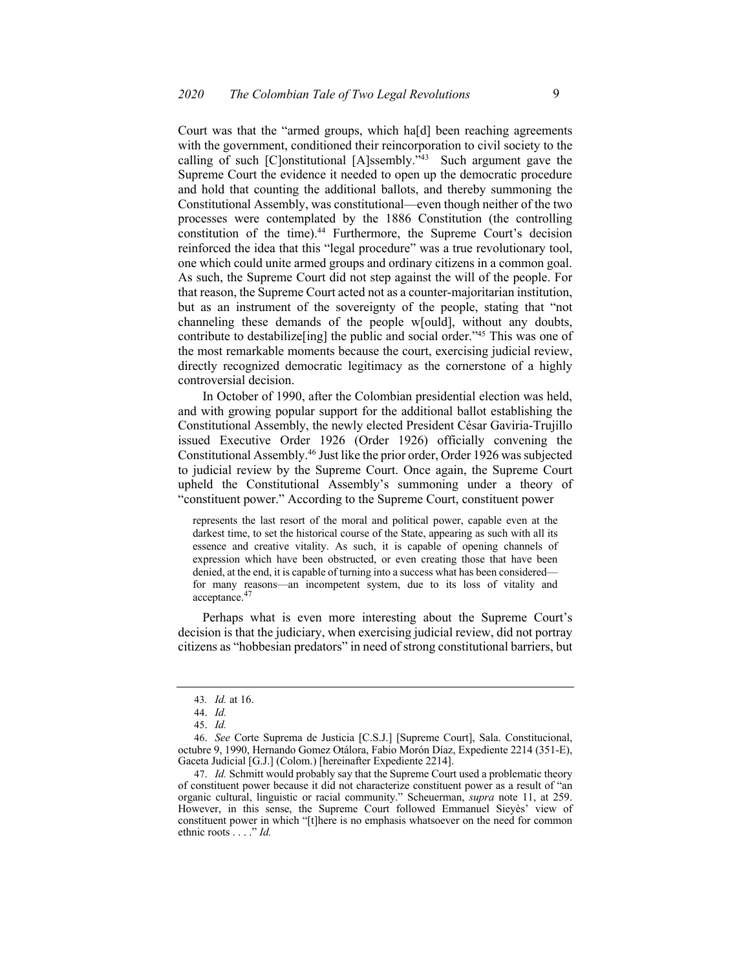Court was that the "armed groups, which ha[d] been reaching agreements with the government, conditioned their reincorporation to civil society to the calling of such [C]onstitutional [A]ssembly."<sup>43</sup> Such argument gave the and hold that counting the additional ballots, and thereby summoning the Constitutional Assembly, was constitutional—even though neither of the two reinforced the idea that this "legal procedure" was a true revolutionary tool, As such, the Supreme Court did not step against the will of the people. For that reason, the Supreme Court acted not as a counter-majoritarian institution, but as an instrument of the sovereignty of the people, stating that "not channeling these demands of the people w[ould], without any doubts, contribute to destabilize[ing] the public and social order."<sup>45</sup> This was one of the most remarkable moments because the court, exercising judicial review, Supreme Court the evidence it needed to open up the democratic procedure processes were contemplated by the 1886 Constitution (the controlling constitution of the time).<sup>44</sup> Furthermore, the Supreme Court's decision one which could unite armed groups and ordinary citizens in a common goal. directly recognized democratic legitimacy as the cornerstone of a highly controversial decision.

 In October of 1990, after the Colombian presidential election was held, and with growing popular support for the additional ballot establishing the Constitutional Assembly, the newly elected President César Gaviria-Trujillo issued Executive Order 1926 (Order 1926) officially convening the Constitutional [Assembly.46](https://Assembly.46) Just like the prior order, Order 1926 was subjected to judicial review by the Supreme Court. Once again, the Supreme Court "constituent power." According to the Supreme Court, constituent power upheld the Constitutional Assembly's summoning under a theory of

 represents the last resort of the moral and political power, capable even at the darkest time, to set the historical course of the State, appearing as such with all its essence and creative vitality. As such, it is capable of opening channels of expression which have been obstructed, or even creating those that have been denied, at the end, it is capable of turning into a success what has been considered— for many reasons—an incompetent system, due to its loss of vitality and [acceptance.](https://acceptance.47)<sup>47</sup>

 Perhaps what is even more interesting about the Supreme Court's decision is that the judiciary, when exercising judicial review, did not portray citizens as "hobbesian predators" in need of strong constitutional barriers, but

<sup>43</sup>*. Id.* at 16.

<sup>44.</sup> *Id.* 

<sup>45.</sup> *Id.* 

 46. *See* Corte Suprema de Justicia [C.S.J.] [Supreme Court], Sala. Constitucional, octubre 9, 1990, Hernando Gomez Otálora, Fabio Morón Díaz, Expediente 2214 (351-E), Gaceta Judicial [G.J.] (Colom.) [hereinafter Expediente 2214].

 47. *Id.* Schmitt would probably say that the Supreme Court used a problematic theory of constituent power because it did not characterize constituent power as a result of "an organic cultural, linguistic or racial community." Scheuerman, *supra* note 11, at 259. However, in this sense, the Supreme Court followed Emmanuel Sieyès' view of constituent power in which "[t]here is no emphasis whatsoever on the need for common ethnic roots . . . ." *Id.*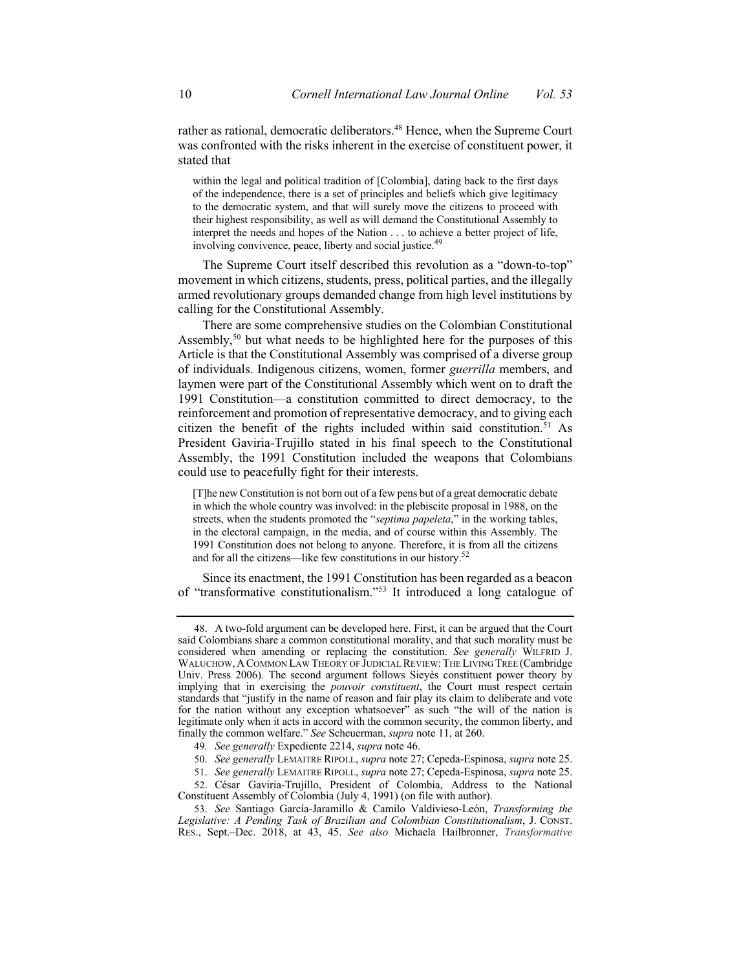rather as rational, democratic [deliberators.](https://deliberators.48) 48 Hence, when the Supreme Court was confronted with the risks inherent in the exercise of constituent power, it stated that

 within the legal and political tradition of [Colombia], dating back to the first days of the independence, there is a set of principles and beliefs which give legitimacy to the democratic system, and that will surely move the citizens to proceed with their highest responsibility, as well as will demand the Constitutional Assembly to interpret the needs and hopes of the Nation . . . to achieve a better project of life, involving convivence, peace, liberty and social [justice.](https://justice.49)<sup>49</sup>

 The Supreme Court itself described this revolution as a "down-to-top" movement in which citizens, students, press, political parties, and the illegally armed revolutionary groups demanded change from high level institutions by calling for the Constitutional Assembly.

 There are some comprehensive studies on the Colombian Constitutional Assembly,<sup>50</sup> but what needs to be highlighted here for the purposes of this Article is that the Constitutional Assembly was comprised of a diverse group of individuals. Indigenous citizens, women, former *guerrilla* members, and laymen were part of the Constitutional Assembly which went on to draft the 1991 Constitution—a constitution committed to direct democracy, to the reinforcement and promotion of representative democracy, and to giving each citizen the benefit of the rights included within said constitution.<sup>51</sup> As President Gaviria-Trujillo stated in his final speech to the Constitutional Assembly, the 1991 Constitution included the weapons that Colombians could use to peacefully fight for their interests.

 [T]he new Constitution is not born out of a few pens but of a great democratic debate in which the whole country was involved: in the plebiscite proposal in 1988, on the streets, when the students promoted the "*septima papeleta*," in the working tables, in the electoral campaign, in the media, and of course within this Assembly. The 1991 Constitution does not belong to anyone. Therefore, it is from all the citizens and for all the citizens—like few constitutions in our history.<sup>52</sup>

 Since its enactment, the 1991 Constitution has been regarded as a beacon of "transformative constitutionalism."53 It introduced a long catalogue of

 52. César Gaviria-Trujillo, President of Colombia, Address to the National Constituent Assembly of Colombia (July 4, 1991) (on file with author).

 48. A two-fold argument can be developed here. First, it can be argued that the Court said Colombians share a common constitutional morality, and that such morality must be considered when amending or replacing the constitution. *See generally* WILFRID J. WALUCHOW, A COMMON LAW THEORY OF JUDICIAL REVIEW: THE LIVING TREE (Cambridge Univ. Press 2006). The second argument follows Sieyès constituent power theory by implying that in exercising the *pouvoir constituent*, the Court must respect certain standards that "justify in the name of reason and fair play its claim to deliberate and vote for the nation without any exception whatsoever" as such "the will of the nation is legitimate only when it acts in accord with the common security, the common liberty, and finally the common welfare." *See* Scheuerman, *supra* note 11, at 260.

 49*. See generally* Expediente 2214, *supra* note 46.

 50. *See generally* LEMAITRE RIPOLL, *supra* note 27; Cepeda-Espinosa, *supra* note 25.

 51. *See generally* LEMAITRE RIPOLL, *supra* note 27; Cepeda-Espinosa, *supra* note 25.

 53. *See* Santiago García-Jaramillo & Camilo Valdivieso-León, *Transforming the Legislative: A Pending Task of Brazilian and Colombian Constitutionalism*, J. CONST. RES., Sept.–Dec. 2018, at 43, 45. *See also* Michaela Hailbronner, *Transformative*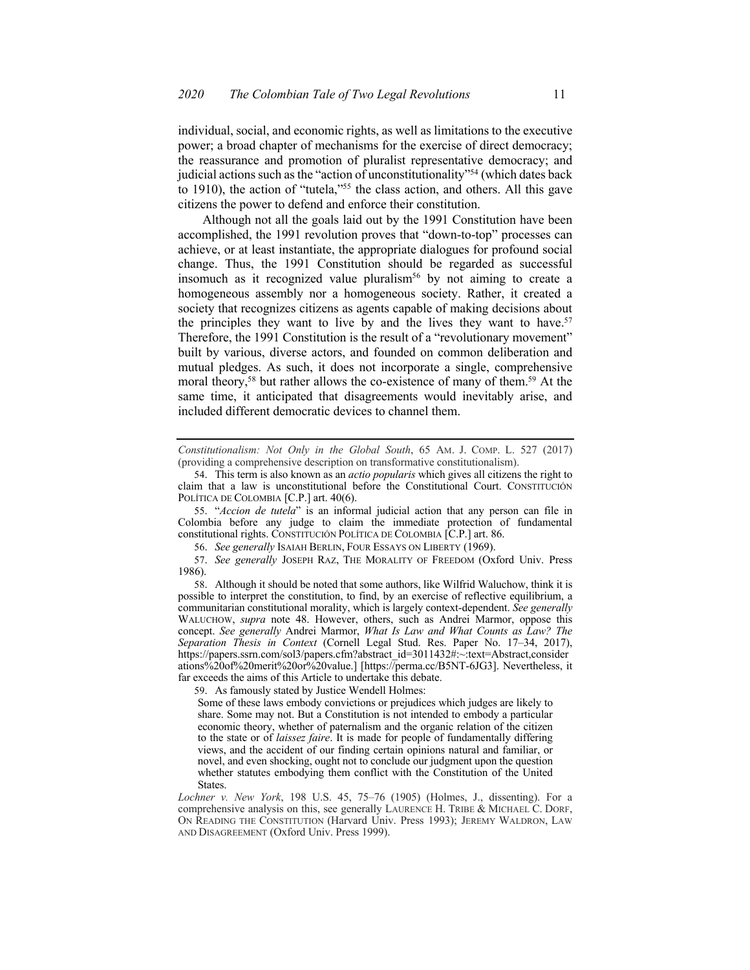individual, social, and economic rights, as well as limitations to the executive power; a broad chapter of mechanisms for the exercise of direct democracy; the reassurance and promotion of pluralist representative democracy; and judicial actions such as the "action of unconstitutionality"<sup>54</sup> (which dates back to 1910), the action of "tutela,"55 the class action, and others. All this gave citizens the power to defend and enforce their constitution.

 Although not all the goals laid out by the 1991 Constitution have been accomplished, the 1991 revolution proves that "down-to-top" processes can achieve, or at least instantiate, the appropriate dialogues for profound social change. Thus, the 1991 Constitution should be regarded as successful insomuch as it recognized value pluralism<sup>56</sup> by not aiming to create a homogeneous assembly nor a homogeneous society. Rather, it created a society that recognizes citizens as agents capable of making decisions about the principles they want to live by and the lives they want to have.<sup>57</sup> Therefore, the 1991 Constitution is the result of a "revolutionary movement" built by various, diverse actors, and founded on common deliberation and mutual pledges. As such, it does not incorporate a single, comprehensive moral theory,<sup>58</sup> but rather allows the co-existence of many of them.<sup>59</sup> At the same time, it anticipated that disagreements would inevitably arise, and included different democratic devices to channel them.

 *Constitutionalism: Not Only in the Global South*, 65 AM. J. COMP. L. 527 (2017) (providing a comprehensive description on transformative constitutionalism).

55. "*Accion de tutela*" is an informal judicial action that any person can file in Colombia before any judge to claim the immediate protection of fundamental constitutional rights. CONSTITUCIÓN POLÍTICA DE COLOMBIA [C.P.] art. 86.

56. *See generally* ISAIAH BERLIN, FOUR ESSAYS ON LIBERTY (1969).

 57. *See generally* JOSEPH RAZ, THE MORALITY OF FREEDOM (Oxford Univ. Press 1986).

 possible to interpret the constitution, to find, by an exercise of reflective equilibrium, a communitarian constitutional morality, which is largely context-dependent. *See generally*  WALUCHOW, *supra* note 48. However, others, such as Andrei Marmor, oppose this  concept. *See generally* Andrei Marmor, *What Is Law and What Counts as Law? The Separation Thesis in Context* (Cornell Legal Stud. Res. Paper No. 17–34, 2017), ations%20of%20merit%20or%20value.] [<https://perma.cc/B5NT-6JG3>]. Nevertheless, it far exceeds the aims of this Article to undertake this debate. 58. Although it should be noted that some authors, like Wilfrid Waluchow, think it is [https://papers.ssrn.com/sol3/papers.cfm?abstract\\_id=3011432#:~:text=Abstract,consider](https://papers.ssrn.com/sol3/papers.cfm?abstract_id=3011432#:~:text=Abstract,consider)

59. As famously stated by Justice Wendell Holmes:

 Some of these laws embody convictions or prejudices which judges are likely to share. Some may not. But a Constitution is not intended to embody a particular economic theory, whether of paternalism and the organic relation of the citizen to the state or of *laissez faire*. It is made for people of fundamentally differing views, and the accident of our finding certain opinions natural and familiar, or novel, and even shocking, ought not to conclude our judgment upon the question whether statutes embodying them conflict with the Constitution of the United States.

 *Lochner v. New York*, 198 U.S. 45, 75–76 (1905) (Holmes, J., dissenting). For a comprehensive analysis on this, see generally LAURENCE H. TRIBE & MICHAEL C. DORF, ON READING THE CONSTITUTION (Harvard Univ. Press 1993); JEREMY WALDRON, LAW AND DISAGREEMENT (Oxford Univ. Press 1999).

 54. This term is also known as an *actio popularis* which gives all citizens the right to claim that a law is unconstitutional before the Constitutional Court. CONSTITUCIÓN POLÍTICA DE COLOMBIA [C.P.] art. 40(6).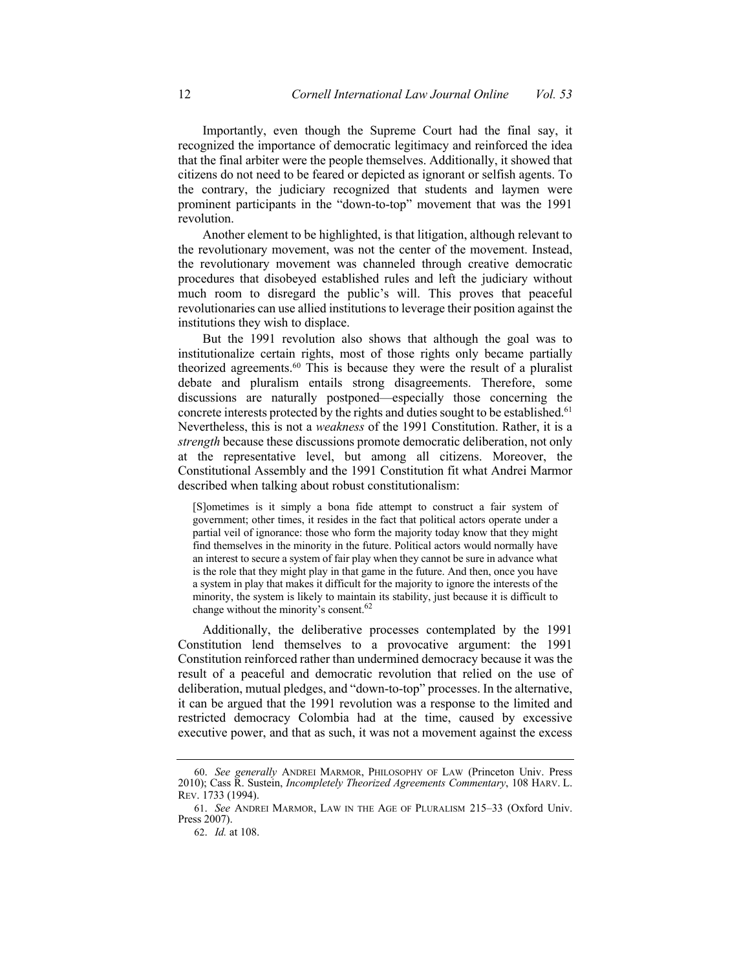Importantly, even though the Supreme Court had the final say, it recognized the importance of democratic legitimacy and reinforced the idea that the final arbiter were the people themselves. Additionally, it showed that the contrary, the judiciary recognized that students and laymen were prominent participants in the "down-to-top" movement that was the 1991 citizens do not need to be feared or depicted as ignorant or selfish agents. To revolution.

 Another element to be highlighted, is that litigation, although relevant to the revolutionary movement was channeled through creative democratic procedures that disobeyed established rules and left the judiciary without much room to disregard the public's will. This proves that peaceful revolutionaries can use allied institutions to leverage their position against the the revolutionary movement, was not the center of the movement. Instead, institutions they wish to displace.

 But the 1991 revolution also shows that although the goal was to institutionalize certain rights, most of those rights only became partially theorized agreements.<sup>60</sup> This is because they were the result of a pluralist debate and pluralism entails strong disagreements. Therefore, some concrete interests protected by the rights and duties sought to be established.<sup>61</sup> Nevertheless, this is not a *weakness* of the 1991 Constitution. Rather, it is a *strength* because these discussions promote democratic deliberation, not only at the representative level, but among all citizens. Moreover, the Constitutional Assembly and the 1991 Constitution fit what Andrei Marmor described when talking about robust constitutionalism: discussions are naturally postponed—especially those concerning the

 [S]ometimes is it simply a bona fide attempt to construct a fair system of government; other times, it resides in the fact that political actors operate under a partial veil of ignorance: those who form the majority today know that they might find themselves in the minority in the future. Political actors would normally have an interest to secure a system of fair play when they cannot be sure in advance what is the role that they might play in that game in the future. And then, once you have a system in play that makes it difficult for the majority to ignore the interests of the minority, the system is likely to maintain its stability, just because it is difficult to change without the minority's consent.<sup>62</sup>

 Additionally, the deliberative processes contemplated by the 1991 Constitution lend themselves to a provocative argument: the 1991 Constitution reinforced rather than undermined democracy because it was the result of a peaceful and democratic revolution that relied on the use of deliberation, mutual pledges, and "down-to-top" processes. In the alternative, it can be argued that the 1991 revolution was a response to the limited and restricted democracy Colombia had at the time, caused by excessive executive power, and that as such, it was not a movement against the excess

 60. *See generally* ANDREI MARMOR, PHILOSOPHY OF LAW (Princeton Univ. Press 2010); Cass R. Sustein, *Incompletely Theorized Agreements Commentary*, 108 HARV. L. REV. 1733 (1994).

 61. *See* ANDREI MARMOR, LAW IN THE AGE OF PLURALISM 215–33 (Oxford Univ. Press 2007).

<sup>62.</sup> *Id.* at 108.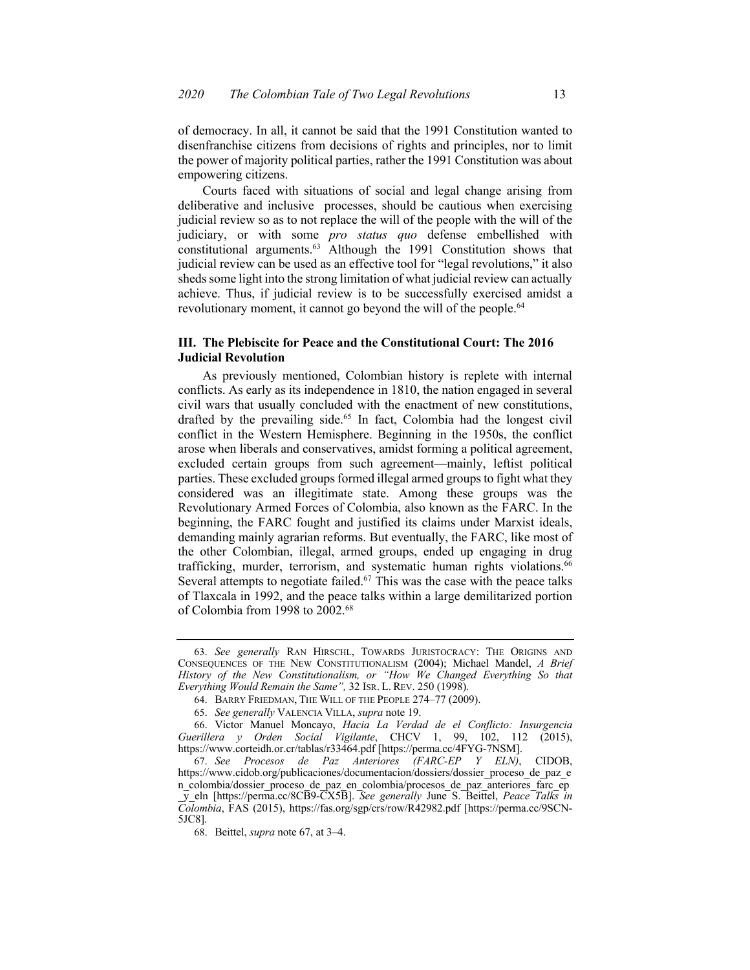of democracy. In all, it cannot be said that the 1991 Constitution wanted to disenfranchise citizens from decisions of rights and principles, nor to limit the power of majority political parties, rather the 1991 Constitution was about empowering citizens.

 Courts faced with situations of social and legal change arising from deliberative and inclusive processes, should be cautious when exercising judicial review so as to not replace the will of the people with the will of the judiciary, or with some *pro status quo* defense embellished with constitutional arguments.<sup>63</sup> Although the 1991 Constitution shows that judicial review can be used as an effective tool for "legal revolutions," it also sheds some light into the strong limitation of what judicial review can actually achieve. Thus, if judicial review is to be successfully exercised amidst a revolutionary moment, it cannot go beyond the will of the people.<sup>64</sup>

### **III. The Plebiscite for Peace and the Constitutional Court: The 2016 Judicial Revolution**

 As previously mentioned, Colombian history is replete with internal conflicts. As early as its independence in 1810, the nation engaged in several civil wars that usually concluded with the enactment of new constitutions, drafted by the prevailing side.<sup>65</sup> In fact, Colombia had the longest civil conflict in the Western Hemisphere. Beginning in the 1950s, the conflict arose when liberals and conservatives, amidst forming a political agreement, excluded certain groups from such agreement—mainly, leftist political parties. These excluded groups formed illegal armed groups to fight what they considered was an illegitimate state. Among these groups was the Revolutionary Armed Forces of Colombia, also known as the FARC. In the beginning, the FARC fought and justified its claims under Marxist ideals, demanding mainly agrarian reforms. But eventually, the FARC, like most of the other Colombian, illegal, armed groups, ended up engaging in drug Several attempts to negotiate failed.<sup>67</sup> This was the case with the peace talks trafficking, murder, terrorism, and systematic human rights violations.<sup>66</sup> of Tlaxcala in 1992, and the peace talks within a large demilitarized portion of Colombia from 1998 to 2002.68

 CONSEQUENCES OF THE NEW CONSTITUTIONALISM (2004); Michael Mandel, *A Brief History of the New Constitutionalism, or "How We Changed Everything So that Everything Would Remain the Same",* 32 ISR. L. REV. 250 (1998). 63. *See generally* RAN HIRSCHL, TOWARDS JURISTOCRACY: THE ORIGINS AND

 64. BARRY FRIEDMAN, THE WILL OF THE PEOPLE 274–77 (2009).

<sup>65.</sup> *See generally* VALENCIA VILLA, *supra* note 19.

<sup>66.</sup> Victor Manuel Moncayo, *Hacia La Verdad de el Conflicto: Insurgencia Guerillera y Orden Social Vigilante*, CHCV 1, 99, 102, 112 (2015), <https://www.corteidh.or.cr/tablas/r33464.pdf> [<https://perma.cc/4FYG-7NSM>].

 67. *See Procesos de Paz Anteriores (FARC-EP Y ELN)*, CIDOB, \_y\_eln [\[https://perma.cc/8CB9-CX5B](https://perma.cc/8CB9-CX5B)]. *See generally* June S. Beittel, *Peace Talks in*  [https://www.cidob.org/publicaciones/documentacion/dossiers/dossier\\_proceso\\_de\\_paz\\_e](https://www.cidob.org/publicaciones/documentacion/dossiers/dossier_proceso_de_paz_e) n colombia/dossier proceso de paz en colombia/procesos de paz anteriores farc ep *Colombia*, FAS (2015), <https://fas.org/sgp/crs/row/R42982.pdf>[\[https://perma.cc/9SCN-](https://perma.cc/9SCN)5JC8].

<sup>68.</sup> Beittel, *supra* note 67, at 3–4.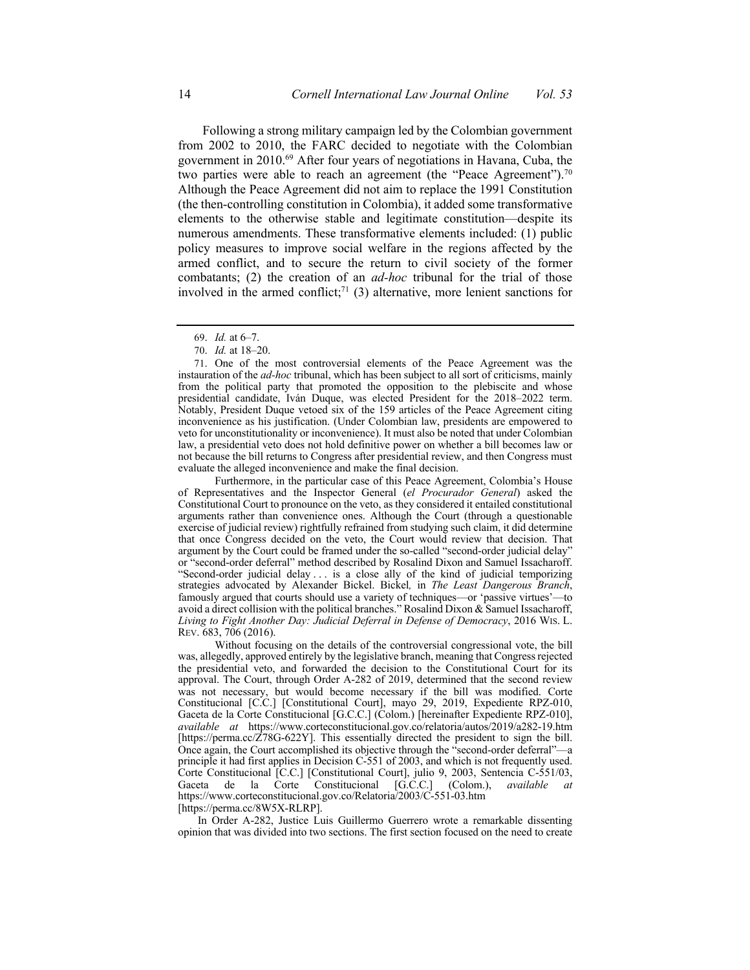from 2002 to 2010, the FARC decided to negotiate with the Colombian government in 2010.<sup>69</sup> After four years of negotiations in Havana, Cuba, the two parties were able to reach an agreement (the "Peace Agreement").<sup>70</sup> Although the Peace Agreement did not aim to replace the 1991 Constitution (the then-controlling constitution in Colombia), it added some transformative numerous amendments. These transformative elements included: (1) public armed conflict, and to secure the return to civil society of the former combatants; (2) the creation of an *ad-hoc* tribunal for the trial of those involved in the armed conflict;<sup>71</sup> (3) alternative, more lenient sanctions for Following a strong military campaign led by the Colombian government elements to the otherwise stable and legitimate constitution—despite its policy measures to improve social welfare in the regions affected by the

 Furthermore, in the particular case of this Peace Agreement, Colombia's House of Representatives and the Inspector General (*el Procurador General*) asked the Constitutional Court to pronounce on the veto, as they considered it entailed constitutional arguments rather than convenience ones. Although the Court (through a questionable exercise of judicial review) rightfully refrained from studying such claim, it did determine that once Congress decided on the veto, the Court would review that decision. That argument by the Court could be framed under the so-called "second-order judicial delay" or "second-order deferral" method described by Rosalind Dixon and Samuel Issacharoff. "Second-order judicial delay . . . is a close ally of the kind of judicial temporizing strategies advocated by Alexander Bickel. Bickel*,* in *The Least Dangerous Branch*, famously argued that courts should use a variety of techniques—or 'passive virtues'—to avoid a direct collision with the political branches." Rosalind Dixon & Samuel Issacharoff,  *Living to Fight Another Day: Judicial Deferral in Defense of Democracy*, 2016 WIS. L. REV. 683, 706 (2016).

 Without focusing on the details of the controversial congressional vote, the bill was, allegedly, approved entirely by the legislative branch, meaning that Congress rejected the presidential veto, and forwarded the decision to the Constitutional Court for its approval. The Court, through Order A-282 of 2019, determined that the second review Gaceta de la Corte Constitucional [G.C.C.] (Colom.) [hereinafter Expediente RPZ-010], [\[https://perma.cc/Z78G-622Y\]](https://perma.cc/Z78G-622Y). This essentially directed the president to sign the bill. Once again, the Court accomplished its objective through the "second-order deferral"—a principle it had first applies in Decision C-551 of 2003, and which is not frequently used. Corte Constitucional [C.C.] [Constitutional Court], julio 9, 2003, Sentencia C-551/03, Gaceta was not necessary, but would become necessary if the bill was modified. Corte Constitucional [C.C.] [Constitutional Court], mayo 29, 2019, Expediente RPZ-010, *available at* <https://www.corteconstitucional.gov.co/relatoria/autos/2019/a282-19.htm> de la Corte Constitucional [G.C.C.] (Colom.), *available at* <https://www.corteconstitucional.gov.co/Relatoria/2003/C-551-03.htm> [\[https://perma.cc/8W5X-RLRP](https://perma.cc/8W5X-RLRP)].

 In Order A-282, Justice Luis Guillermo Guerrero wrote a remarkable dissenting opinion that was divided into two sections. The first section focused on the need to create

 69. *Id.* at 6–7.

 70. *Id.* at 18–20.

 71. One of the most controversial elements of the Peace Agreement was the instauration of the *ad-hoc* tribunal, which has been subject to all sort of criticisms, mainly from the political party that promoted the opposition to the plebiscite and whose presidential candidate, Iván Duque, was elected President for the 2018–2022 term. Notably, President Duque vetoed six of the 159 articles of the Peace Agreement citing inconvenience as his justification. (Under Colombian law, presidents are empowered to veto for unconstitutionality or inconvenience). It must also be noted that under Colombian law, a presidential veto does not hold definitive power on whether a bill becomes law or not because the bill returns to Congress after presidential review, and then Congress must evaluate the alleged inconvenience and make the final decision.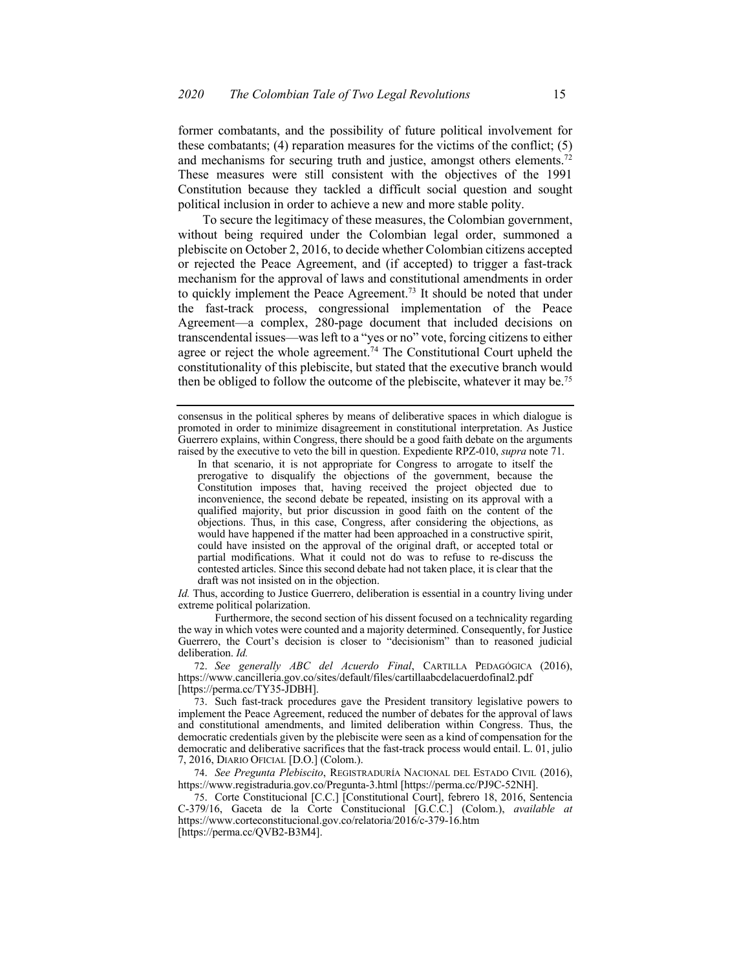former combatants, and the possibility of future political involvement for and mechanisms for securing truth and justice, amongst others elements.<sup>72</sup> These measures were still consistent with the objectives of the 1991 Constitution because they tackled a difficult social question and sought political inclusion in order to achieve a new and more stable polity. these combatants;  $(4)$  reparation measures for the victims of the conflict;  $(5)$ 

 To secure the legitimacy of these measures, the Colombian government, without being required under the Colombian legal order, summoned a plebiscite on October 2, 2016, to decide whether Colombian citizens accepted or rejected the Peace Agreement, and (if accepted) to trigger a fast-track mechanism for the approval of laws and constitutional amendments in order to quickly implement the Peace Agreement.<sup>73</sup> It should be noted that under the fast-track process, congressional implementation of the Peace Agreement—a complex, 280-page document that included decisions on transcendental issues—was left to a "yes or no" vote, forcing citizens to either agree or reject the whole agreement.<sup>74</sup> The Constitutional Court upheld the constitutionality of this plebiscite, but stated that the executive branch would then be obliged to follow the outcome of the plebiscite, whatever it may be.<sup>75</sup>

 *Id.* Thus, according to Justice Guerrero, deliberation is essential in a country living under extreme political polarization.

 Furthermore, the second section of his dissent focused on a technicality regarding the way in which votes were counted and a majority determined. Consequently, for Justice Guerrero, the Court's decision is closer to "decisionism" than to reasoned judicial deliberation. *Id.* 

 72. *See generally ABC del Acuerdo Final*, CARTILLA PEDAGÓGICA (2016), <https://www.cancilleria.gov.co/sites/default/files/cartillaabcdelacuerdofinal2.pdf> [\[https://perma.cc/TY35-JDBH](https://perma.cc/TY35-JDBH)].

 74. *See Pregunta Plebiscito*, REGISTRADURÍA NACIONAL DEL ESTADO CIVIL (2016), <https://www.registraduria.gov.co/Pregunta-3.html>[\[https://perma.cc/PJ9C-52NH](https://perma.cc/PJ9C-52NH)].

 75. Corte Constitucional [C.C.] [Constitutional Court], febrero 18, 2016, Sentencia C-379/16, Gaceta de la Corte Constitucional [G.C.C.] (Colom.), *available at*  <https://www.corteconstitucional.gov.co/relatoria/2016/c-379-16.htm> [\[https://perma.cc/QVB2-B3M4](https://perma.cc/QVB2-B3M4)].

 consensus in the political spheres by means of deliberative spaces in which dialogue is promoted in order to minimize disagreement in constitutional interpretation. As Justice raised by the executive to veto the bill in question. Expediente RPZ-010, *supra* note 71. Guerrero explains, within Congress, there should be a good faith debate on the arguments

 In that scenario, it is not appropriate for Congress to arrogate to itself the prerogative to disqualify the objections of the government, because the Constitution imposes that, having received the project objected due to inconvenience, the second debate be repeated, insisting on its approval with a qualified majority, but prior discussion in good faith on the content of the objections. Thus, in this case, Congress, after considering the objections, as would have happened if the matter had been approached in a constructive spirit, could have insisted on the approval of the original draft, or accepted total or partial modifications. What it could not do was to refuse to re-discuss the contested articles. Since this second debate had not taken place, it is clear that the draft was not insisted on in the objection.

 73. Such fast-track procedures gave the President transitory legislative powers to implement the Peace Agreement, reduced the number of debates for the approval of laws and constitutional amendments, and limited deliberation within Congress. Thus, the democratic credentials given by the plebiscite were seen as a kind of compensation for the democratic and deliberative sacrifices that the fast-track process would entail. L. 01, julio 7, 2016, DIARIO OFICIAL [D.O.] (Colom.).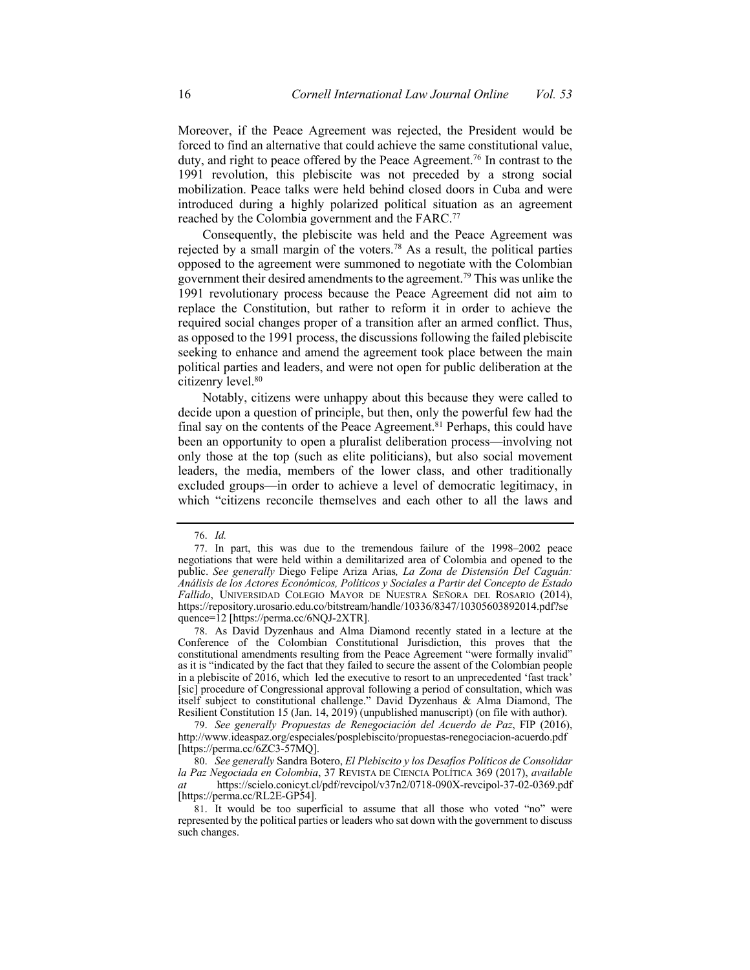Moreover, if the Peace Agreement was rejected, the President would be forced to find an alternative that could achieve the same constitutional value, duty, and right to peace offered by the Peace Agreement.<sup>76</sup> In contrast to the 1991 revolution, this plebiscite was not preceded by a strong social mobilization. Peace talks were held behind closed doors in Cuba and were introduced during a highly polarized political situation as an agreement reached by the Colombia government and the FARC.<sup>77</sup>

 Consequently, the plebiscite was held and the Peace Agreement was rejected by a small margin of the voters.<sup>78</sup> As a result, the political parties government their desired amendments to the agreement.<sup>79</sup> This was unlike the 1991 revolutionary process because the Peace Agreement did not aim to replace the Constitution, but rather to reform it in order to achieve the required social changes proper of a transition after an armed conflict. Thus, seeking to enhance and amend the agreement took place between the main political parties and leaders, and were not open for public deliberation at the citizenry [level.80](https://level.80) opposed to the agreement were summoned to negotiate with the Colombian as opposed to the 1991 process, the discussions following the failed plebiscite

 Notably, citizens were unhappy about this because they were called to decide upon a question of principle, but then, only the powerful few had the final say on the contents of the Peace Agreement.<sup>81</sup> Perhaps, this could have only those at the top (such as elite politicians), but also social movement excluded groups—in order to achieve a level of democratic legitimacy, in which "citizens reconcile themselves and each other to all the laws and been an opportunity to open a pluralist deliberation process—involving not leaders, the media, members of the lower class, and other traditionally

 78. As David Dyzenhaus and Alma Diamond recently stated in a lecture at the Conference of the Colombian Constitutional Jurisdiction, this proves that the constitutional amendments resulting from the Peace Agreement "were formally invalid" as it is "indicated by the fact that they failed to secure the assent of the Colombian people in a plebiscite of 2016, which led the executive to resort to an unprecedented 'fast track' [sic] procedure of Congressional approval following a period of consultation, which was itself subject to constitutional challenge." David Dyzenhaus & Alma Diamond, The Resilient Constitution 15 (Jan. 14, 2019) (unpublished manuscript) (on file with author).

 79. *See generally Propuestas de Renegociación del Acuerdo de Paz*, FIP (2016), <http://www.ideaspaz.org/especiales/posplebiscito/propuestas-renegociacion-acuerdo.pdf> [\[https://perma.cc/6ZC3-57MQ\]](https://perma.cc/6ZC3-57MQ).

 80. *See generally* Sandra Botero, *El Plebiscito y los Desafíos Políticos de Consolidar la Paz Negociada en Colombia*, 37 REVISTA DE CIENCIA POLÍTICA 369 (2017), *available at* <https://scielo.conicyt.cl/pdf/revcipol/v37n2/0718-090X-revcipol-37-02-0369.pdf> [\[https://perma.cc/RL2E-GP54\]](https://perma.cc/RL2E-GP54).

 81. It would be too superficial to assume that all those who voted "no" were represented by the political parties or leaders who sat down with the government to discuss such changes.

<sup>76.</sup> *Id.* 

 77. In part, this was due to the tremendous failure of the 1998–2002 peace negotiations that were held within a demilitarized area of Colombia and opened to the  public. *See generally* Diego Felipe Ariza Arias*, La Zona de Distensión Del Caguán: Análisis de los Actores Económicos, Políticos y Sociales a Partir del Concepto de Estado Fallido*, UNIVERSIDAD COLEGIO MAYOR DE NUESTRA SEÑORA DEL ROSARIO (2014), <https://repository.urosario.edu.co/bitstream/handle/10336/8347/10305603892014.pdf?se> quence=12 [\[https://perma.cc/6NQJ-2XTR\]](https://perma.cc/6NQJ-2XTR).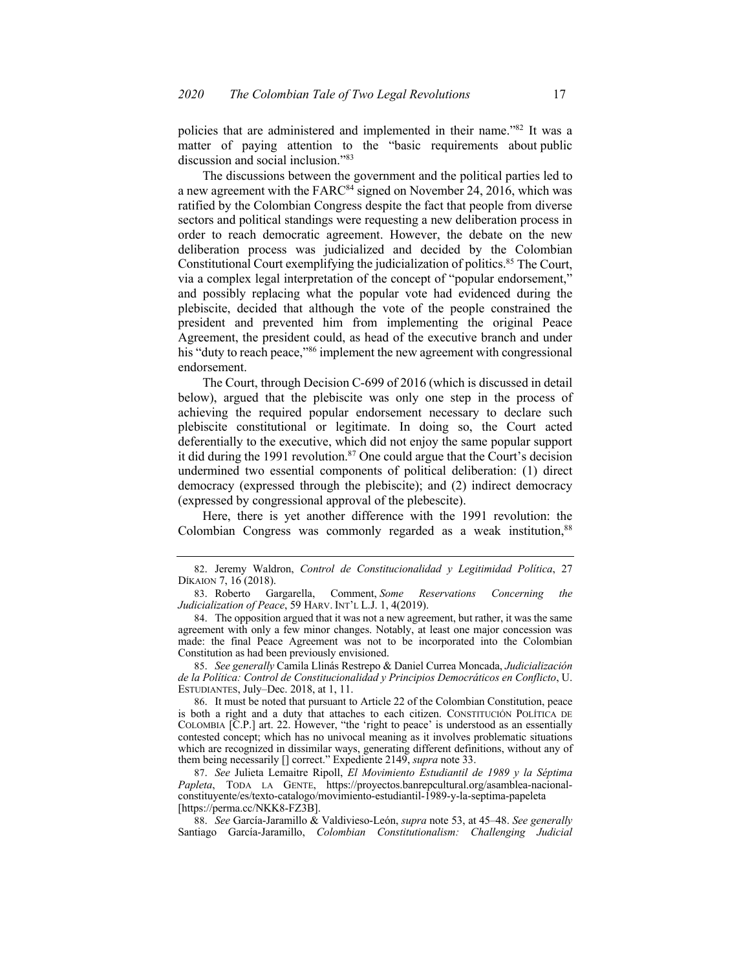policies that are administered and implemented in their name."82 It was a matter of paying attention to the "basic requirements about public discussion and social inclusion."83

 The discussions between the government and the political parties led to a new agreement with the FARC<sup>84</sup> signed on November 24, 2016, which was ratified by the Colombian Congress despite the fact that people from diverse sectors and political standings were requesting a new deliberation process in order to reach democratic agreement. However, the debate on the new deliberation process was judicialized and decided by the Colombian Constitutional Court exemplifying the judicialization of politics.<sup>85</sup> The Court, via a complex legal interpretation of the concept of "popular endorsement," and possibly replacing what the popular vote had evidenced during the president and prevented him from implementing the original Peace Agreement, the president could, as head of the executive branch and under his "duty to reach peace,"<sup>86</sup> implement the new agreement with congressional plebiscite, decided that although the vote of the people constrained the endorsement.

 The Court, through Decision C-699 of 2016 (which is discussed in detail below), argued that the plebiscite was only one step in the process of plebiscite constitutional or legitimate. In doing so, the Court acted deferentially to the executive, which did not enjoy the same popular support it did during the 1991 revolution.<sup>87</sup> One could argue that the Court's decision undermined two essential components of political deliberation: (1) direct democracy (expressed through the plebiscite); and (2) indirect democracy (expressed by congressional approval of the plebescite). achieving the required popular endorsement necessary to declare such

 Here, there is yet another difference with the 1991 revolution: the Colombian Congress was commonly regarded as a weak institution,<sup>88</sup>

 85. *See generally* Camila Llinás Restrepo & Daniel Currea Moncada, *Judicialización de la Política: Control de Constitucionalidad y Principios Democráticos en Conflicto*, U. ESTUDIANTES, July–Dec. 2018, at 1, 11.

 86. It must be noted that pursuant to Article 22 of the Colombian Constitution, peace is both a right and a duty that attaches to each citizen. CONSTITUCIÓN POLÍTICA DE COLOMBIA [C.P.] art. 22. However, "the 'right to peace' is understood as an essentially contested concept; which has no univocal meaning as it involves problematic situations which are recognized in dissimilar ways, generating different definitions, without any of them being necessarily [] correct." Expediente 2149, *supra* note 33.

 87. *See* Julieta Lemaitre Ripoll, *El Movimiento Estudiantil de 1989 y la Séptima Papleta*, TODA LA GENTE, <https://proyectos.banrepcultural.org/asamblea-nacional>constituyente/es/texto-catalogo/movimiento-estudiantil-1989-y-la-septima-papeleta [\[https://perma.cc/NKK8-FZ3B\]](https://perma.cc/NKK8-FZ3B).

 88. *See* García-Jaramillo & Valdivieso-León, *supra* note 53, at 45–48. *See generally*  Santiago García-Jaramillo, *Colombian Constitutionalism: Challenging Judicial* 

 82. Jeremy Waldron, *Control de Constitucionalidad y Legitimidad Política*, 27 DÍKAION 7, 16 (2018).

 *Judicialization of Peace*, 59 HARV. INT'L L.J. 1, 4(2019). 83. Roberto Gargarella, Comment, *Some Reservations Concerning the* 

 84. The opposition argued that it was not a new agreement, but rather, it was the same agreement with only a few minor changes. Notably, at least one major concession was made: the final Peace Agreement was not to be incorporated into the Colombian Constitution as had been previously envisioned.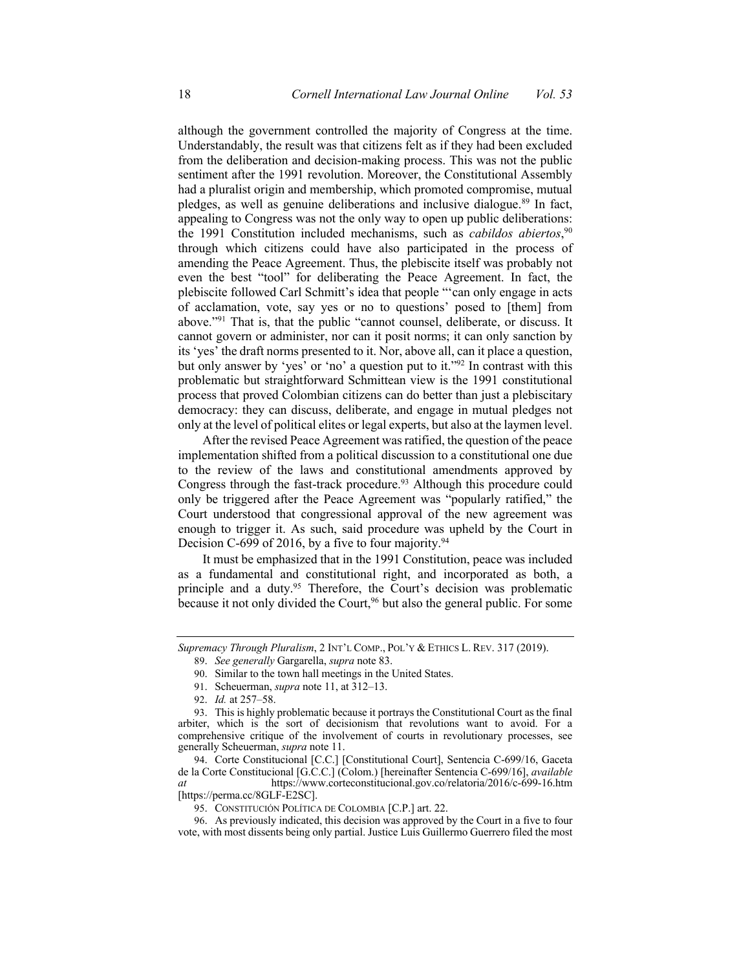although the government controlled the majority of Congress at the time. Understandably, the result was that citizens felt as if they had been excluded from the deliberation and decision-making process. This was not the public sentiment after the 1991 revolution. Moreover, the Constitutional Assembly had a pluralist origin and membership, which promoted compromise, mutual pledges, as well as genuine deliberations and inclusive dialogue.<sup>89</sup> In fact, appealing to Congress was not the only way to open up public deliberations: the 1991 Constitution included mechanisms, such as *cabildos abiertos*, 90 through which citizens could have also participated in the process of amending the Peace Agreement. Thus, the plebiscite itself was probably not even the best "tool" for deliberating the Peace Agreement. In fact, the plebiscite followed Carl Schmitt's idea that people "'can only engage in acts of acclamation, vote, say yes or no to questions' posed to [them] from above."<sup>91</sup> That is, that the public "cannot counsel, deliberate, or discuss. It cannot govern or administer, nor can it posit norms; it can only sanction by its 'yes' the draft norms presented to it. Nor, above all, can it place a question, but only answer by 'yes' or 'no' a question put to it."<sup>92</sup> In contrast with this problematic but straightforward Schmittean view is the 1991 constitutional process that proved Colombian citizens can do better than just a plebiscitary democracy: they can discuss, deliberate, and engage in mutual pledges not only at the level of political elites or legal experts, but also at the laymen level.

 After the revised Peace Agreement was ratified, the question of the peace implementation shifted from a political discussion to a constitutional one due to the review of the laws and constitutional amendments approved by Congress through the fast-track procedure.<sup>93</sup> Although this procedure could only be triggered after the Peace Agreement was "popularly ratified," the Court understood that congressional approval of the new agreement was enough to trigger it. As such, said procedure was upheld by the Court in Decision C-699 of 2016, by a five to four majority.<sup>94</sup>

 It must be emphasized that in the 1991 Constitution, peace was included as a fundamental and constitutional right, and incorporated as both, a principle and a duty.<sup>95</sup> Therefore, the Court's decision was problematic because it not only divided the Court,<sup>96</sup> but also the general public. For some

 *Supremacy Through Pluralism*, 2 INT'L COMP., POL'Y & ETHICS L. REV. 317 (2019).

 89. *See generally* Gargarella, *supra* note 83.

 90. Similar to the town hall meetings in the United States.

<sup>91.</sup> Scheuerman, *supra* note 11, at 312–13.

 92. *Id.* at 257–58.

 93. This is highly problematic because it portrays the Constitutional Court as the final arbiter, which is the sort of decisionism that revolutions want to avoid. For a comprehensive critique of the involvement of courts in revolutionary processes, see generally Scheuerman, *supra* note 11.

 94. Corte Constitucional [C.C.] [Constitutional Court], Sentencia C-699/16, Gaceta de la Corte Constitucional [G.C.C.] (Colom.) [hereinafter Sentencia C-699/16], *available at* <https://www.corteconstitucional.gov.co/relatoria/2016/c-699-16.htm> [\[https://perma.cc/8GLF-E2SC](https://perma.cc/8GLF-E2SC)].

<sup>95.</sup> CONSTITUCIÓN POLÍTICA DE COLOMBIA [C.P.] art. 22.

 96. As previously indicated, this decision was approved by the Court in a five to four vote, with most dissents being only partial. Justice Luis Guillermo Guerrero filed the most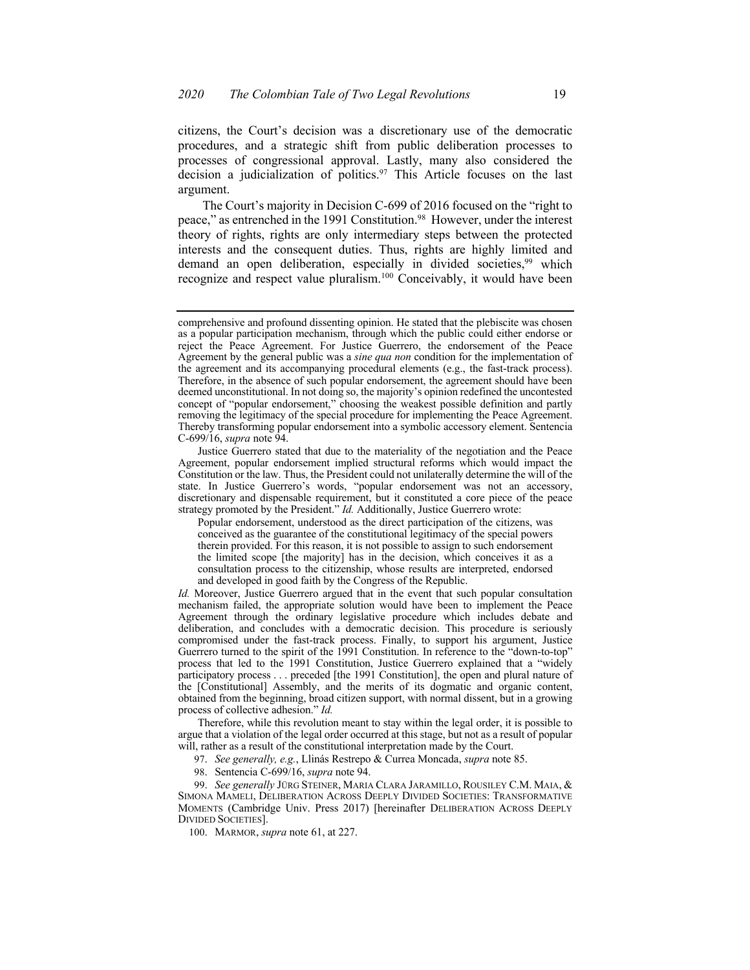citizens, the Court's decision was a discretionary use of the democratic procedures, and a strategic shift from public deliberation processes to processes of congressional approval. Lastly, many also considered the decision a judicialization of politics.<sup>97</sup> This Article focuses on the last argument.

 The Court's majority in Decision C-699 of 2016 focused on the "right to peace," as entrenched in the 1991 Constitution.<sup>98</sup> However, under the interest theory of rights, rights are only intermediary steps between the protected interests and the consequent duties. Thus, rights are highly limited and recognize and respect value pluralism.<sup>100</sup> Conceivably, it would have been demand an open deliberation, especially in divided societies,<sup>99</sup> which

 99. *See generally* JÜRG STEINER, MARIA CLARA JARAMILLO, ROUSILEY C.M. MAIA, & MOMENTS (Cambridge Univ. Press 2017) [hereinafter DELIBERATION ACROSS DEEPLY SIMONA MAMELI, DELIBERATION ACROSS DEEPLY DIVIDED SOCIETIES: TRANSFORMATIVE DIVIDED SOCIETIES].

100. MARMOR, *supra* note 61, at 227.

 comprehensive and profound dissenting opinion. He stated that the plebiscite was chosen as a popular participation mechanism, through which the public could either endorse or reject the Peace Agreement. For Justice Guerrero, the endorsement of the Peace Agreement by the general public was a *sine qua non* condition for the implementation of the agreement and its accompanying procedural elements (e.g., the fast-track process). Therefore, in the absence of such popular endorsement, the agreement should have been deemed unconstitutional. In not doing so, the majority's opinion redefined the uncontested concept of "popular endorsement," choosing the weakest possible definition and partly removing the legitimacy of the special procedure for implementing the Peace Agreement. Thereby transforming popular endorsement into a symbolic accessory element. Sentencia C-699/16, *supra* note 94.

 Justice Guerrero stated that due to the materiality of the negotiation and the Peace Agreement, popular endorsement implied structural reforms which would impact the Constitution or the law. Thus, the President could not unilaterally determine the will of the state. In Justice Guerrero's words, "popular endorsement was not an accessory, discretionary and dispensable requirement, but it constituted a core piece of the peace strategy promoted by the President." *Id.* Additionally, Justice Guerrero wrote:

 Popular endorsement, understood as the direct participation of the citizens, was conceived as the guarantee of the constitutional legitimacy of the special powers therein provided. For this reason, it is not possible to assign to such endorsement the limited scope [the majority] has in the decision, which conceives it as a consultation process to the citizenship, whose results are interpreted, endorsed and developed in good faith by the Congress of the Republic.

 *Id.* Moreover, Justice Guerrero argued that in the event that such popular consultation mechanism failed, the appropriate solution would have been to implement the Peace Agreement through the ordinary legislative procedure which includes debate and deliberation, and concludes with a democratic decision. This procedure is seriously process that led to the 1991 Constitution, Justice Guerrero explained that a "widely participatory process . . . preceded [the 1991 Constitution], the open and plural nature of the [Constitutional] Assembly, and the merits of its dogmatic and organic content, obtained from the beginning, broad citizen support, with normal dissent, but in a growing process of collective adhesion." *Id.*  compromised under the fast-track process. Finally, to support his argument, Justice Guerrero turned to the spirit of the 1991 Constitution. In reference to the "down-to-top"

 Therefore, while this revolution meant to stay within the legal order, it is possible to argue that a violation of the legal order occurred at this stage, but not as a result of popular will, rather as a result of the constitutional interpretation made by the Court.

 97. *See generally, e.g.*, Llinás Restrepo & Currea Moncada, *supra* note 85.

<sup>98.</sup> Sentencia C-699/16, *supra* note 94.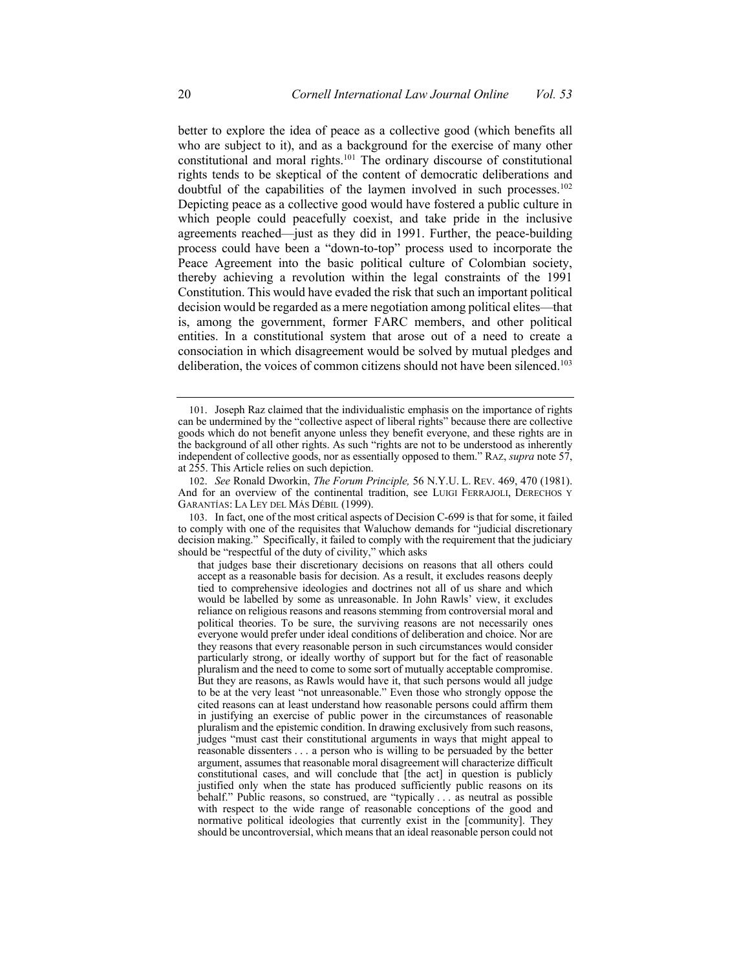better to explore the idea of peace as a collective good (which benefits all who are subject to it), and as a background for the exercise of many other constitutional and moral rights.<sup>101</sup> The ordinary discourse of constitutional rights tends to be skeptical of the content of democratic deliberations and doubtful of the capabilities of the laymen involved in such processes.<sup>102</sup> Depicting peace as a collective good would have fostered a public culture in which people could peacefully coexist, and take pride in the inclusive agreements reached—just as they did in 1991. Further, the peace-building process could have been a "down-to-top" process used to incorporate the Peace Agreement into the basic political culture of Colombian society, thereby achieving a revolution within the legal constraints of the 1991 Constitution. This would have evaded the risk that such an important political is, among the government, former FARC members, and other political entities. In a constitutional system that arose out of a need to create a consociation in which disagreement would be solved by mutual pledges and deliberation, the voices of common citizens should not have been silenced.<sup>103</sup> decision would be regarded as a mere negotiation among political elites—that

 101. Joseph Raz claimed that the individualistic emphasis on the importance of rights can be undermined by the "collective aspect of liberal rights" because there are collective independent of collective goods, nor as essentially opposed to them." RAZ, *supra* note 57, at 255. This Article relies on such depiction. goods which do not benefit anyone unless they benefit everyone, and these rights are in the background of all other rights. As such "rights are not to be understood as inherently

 102. *See* Ronald Dworkin, *The Forum Principle,* 56 N.Y.U. L. REV. 469, 470 (1981). And for an overview of the continental tradition, see LUIGI FERRAJOLI, DERECHOS Y GARANTÍAS: LA LEY DEL MÁS DÉBIL (1999).

 103. In fact, one of the most critical aspects of Decision C-699 is that for some, it failed to comply with one of the requisites that Waluchow demands for "judicial discretionary decision making." Specifically, it failed to comply with the requirement that the judiciary should be "respectful of the duty of civility," which asks

 that judges base their discretionary decisions on reasons that all others could accept as a reasonable basis for decision. As a result, it excludes reasons deeply tied to comprehensive ideologies and doctrines not all of us share and which would be labelled by some as unreasonable. In John Rawls' view, it excludes reliance on religious reasons and reasons stemming from controversial moral and political theories. To be sure, the surviving reasons are not necessarily ones everyone would prefer under ideal conditions of deliberation and choice. Nor are they reasons that every reasonable person in such circumstances would consider particularly strong, or ideally worthy of support but for the fact of reasonable pluralism and the need to come to some sort of mutually acceptable compromise. But they are reasons, as Rawls would have it, that such persons would all judge to be at the very least "not unreasonable." Even those who strongly oppose the cited reasons can at least understand how reasonable persons could affirm them in justifying an exercise of public power in the circumstances of reasonable pluralism and the epistemic condition. In drawing exclusively from such reasons, judges "must cast their constitutional arguments in ways that might appeal to reasonable dissenters . . . a person who is willing to be persuaded by the better argument, assumes that reasonable moral disagreement will characterize difficult constitutional cases, and will conclude that [the act] in question is publicly justified only when the state has produced sufficiently public reasons on its behalf." Public reasons, so construed, are "typically . . . as neutral as possible with respect to the wide range of reasonable conceptions of the good and normative political ideologies that currently exist in the [community]. They should be uncontroversial, which means that an ideal reasonable person could not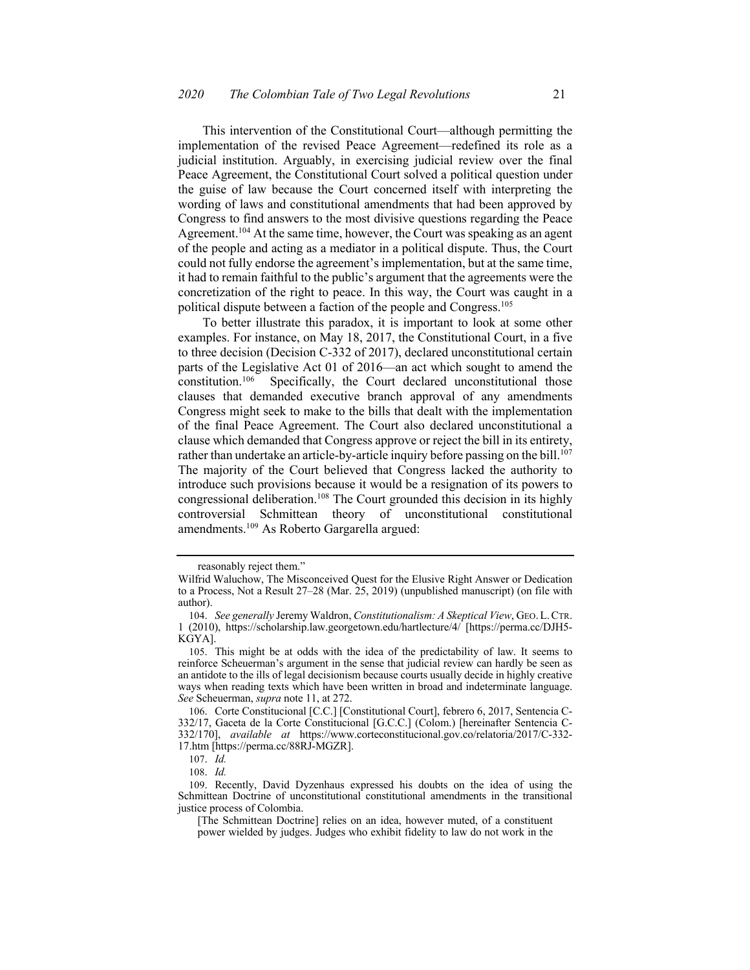This intervention of the Constitutional Court—although permitting the implementation of the revised Peace Agreement—redefined its role as a judicial institution. Arguably, in exercising judicial review over the final Peace Agreement, the Constitutional Court solved a political question under the guise of law because the Court concerned itself with interpreting the wording of laws and constitutional amendments that had been approved by Congress to find answers to the most divisive questions regarding the Peace Agreement.<sup>104</sup> At the same time, however, the Court was speaking as an agent of the people and acting as a mediator in a political dispute. Thus, the Court could not fully endorse the agreement's implementation, but at the same time, it had to remain faithful to the public's argument that the agreements were the concretization of the right to peace. In this way, the Court was caught in a political dispute between a faction of the people and Congress.105

 To better illustrate this paradox, it is important to look at some other examples. For instance, on May 18, 2017, the Constitutional Court, in a five to three decision (Decision C-332 of 2017), declared unconstitutional certain parts of the Legislative Act 01 of 2016—an act which sought to amend the constitution.<sup>106</sup> clauses that demanded executive branch approval of any amendments Congress might seek to make to the bills that dealt with the implementation of the final Peace Agreement. The Court also declared unconstitutional a clause which demanded that Congress approve or reject the bill in its entirety, rather than undertake an article-by-article inquiry before passing on the bill.<sup>107</sup> The majority of the Court believed that Congress lacked the authority to introduce such provisions because it would be a resignation of its powers to congressional deliberation.<sup>108</sup> The Court grounded this decision in its highly amendments.<sup>109</sup> As Roberto Gargarella argued: Specifically, the Court declared unconstitutional those controversial Schmittean theory of unconstitutional constitutional

 reasonably reject them."

 Wilfrid Waluchow, The Misconceived Quest for the Elusive Right Answer or Dedication to a Process, Not a Result 27–28 (Mar. 25, 2019) (unpublished manuscript) (on file with author).

 104. *See generally* Jeremy Waldron, *Constitutionalism: A Skeptical View*, GEO.L.CTR. 1 (2010), [https://scholarship.law.georgetown.edu/hartlecture/4/](https://scholarship.law.georgetown.edu/hartlecture/4) [\[https://perma.cc/DJH5-](https://perma.cc/DJH5) KGYA].

 105. This might be at odds with the idea of the predictability of law. It seems to reinforce Scheuerman's argument in the sense that judicial review can hardly be seen as an antidote to the ills of legal decisionism because courts usually decide in highly creative ways when reading texts which have been written in broad and indeterminate language. *See* Scheuerman, *supra* note 11, at 272.

 106. Corte Constitucional [C.C.] [Constitutional Court], febrero 6, 2017, Sentencia C- 332/17, Gaceta de la Corte Constitucional [G.C.C.] (Colom.) [hereinafter Sentencia C-332/170], *available at* <https://www.corteconstitucional.gov.co/relatoria/2017/C-332>- 17.htm [[https://perma.cc/88RJ-MGZR\]](https://perma.cc/88RJ-MGZR).

<sup>107.</sup> *Id.* 

<sup>108.</sup> *Id.* 

 109. Recently, David Dyzenhaus expressed his doubts on the idea of using the Schmittean Doctrine of unconstitutional constitutional amendments in the transitional justice process of Colombia.

 [The Schmittean Doctrine] relies on an idea, however muted, of a constituent power wielded by judges. Judges who exhibit fidelity to law do not work in the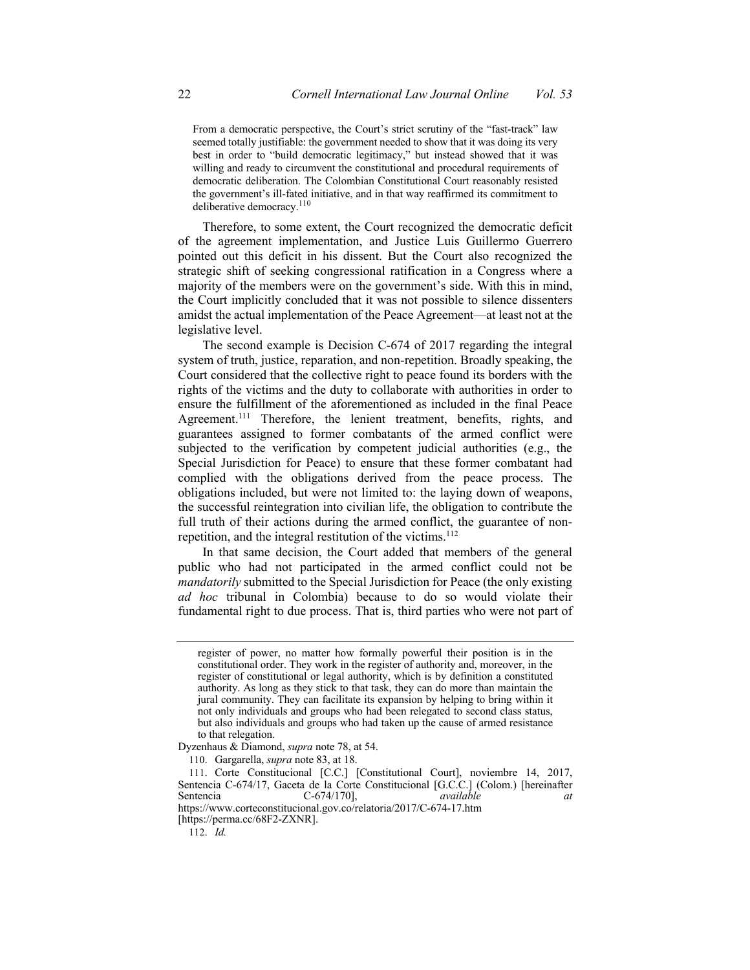From a democratic perspective, the Court's strict scrutiny of the "fast-track" law seemed totally justifiable: the government needed to show that it was doing its very best in order to "build democratic legitimacy," but instead showed that it was willing and ready to circumvent the constitutional and procedural requirements of democratic deliberation. The Colombian Constitutional Court reasonably resisted the government's ill-fated initiative, and in that way reaffirmed its commitment to deliberative democracy.<sup>110</sup>

 Therefore, to some extent, the Court recognized the democratic deficit pointed out this deficit in his dissent. But the Court also recognized the majority of the members were on the government's side. With this in mind, the Court implicitly concluded that it was not possible to silence dissenters amidst the actual implementation of the Peace Agreement—at least not at the of the agreement implementation, and Justice Luis Guillermo Guerrero strategic shift of seeking congressional ratification in a Congress where a legislative level.

 The second example is Decision C-674 of 2017 regarding the integral system of truth, justice, reparation, and non-repetition. Broadly speaking, the Court considered that the collective right to peace found its borders with the rights of the victims and the duty to collaborate with authorities in order to ensure the fulfillment of the aforementioned as included in the final Peace Agreement.<sup>111</sup> Therefore, the lenient treatment, benefits, rights, and guarantees assigned to former combatants of the armed conflict were subjected to the verification by competent judicial authorities (e.g., the Special Jurisdiction for Peace) to ensure that these former combatant had complied with the obligations derived from the peace process. The obligations included, but were not limited to: the laying down of weapons, the successful reintegration into civilian life, the obligation to contribute the full truth of their actions during the armed conflict, the guarantee of nonrepetition, and the integral restitution of the victims.<sup>112</sup>

 In that same decision, the Court added that members of the general public who had not participated in the armed conflict could not be *mandatorily* submitted to the Special Jurisdiction for Peace (the only existing *ad hoc* tribunal in Colombia) because to do so would violate their fundamental right to due process. That is, third parties who were not part of

 register of power, no matter how formally powerful their position is in the constitutional order. They work in the register of authority and, moreover, in the register of constitutional or legal authority, which is by definition a constituted authority. As long as they stick to that task, they can do more than maintain the jural community. They can facilitate its expansion by helping to bring within it not only individuals and groups who had been relegated to second class status, but also individuals and groups who had taken up the cause of armed resistance to that relegation.

 Dyzenhaus & Diamond, *supra* note 78, at 54.

 110. Gargarella, *supra* note 83, at 18.

 111. Corte Constitucional [C.C.] [Constitutional Court], noviembre 14, 2017, Sentencia C-674/17, Gaceta de la Corte Constitucional [G.C.C.] (Colom.) [hereinafter Sentencia C-674/170], *available at at* <https://www.corteconstitucional.gov.co/relatoria/2017/C-674-17.htm> [\[https://perma.cc/68F2-ZXNR\]](https://perma.cc/68F2-ZXNR).

<sup>112.</sup> *Id.*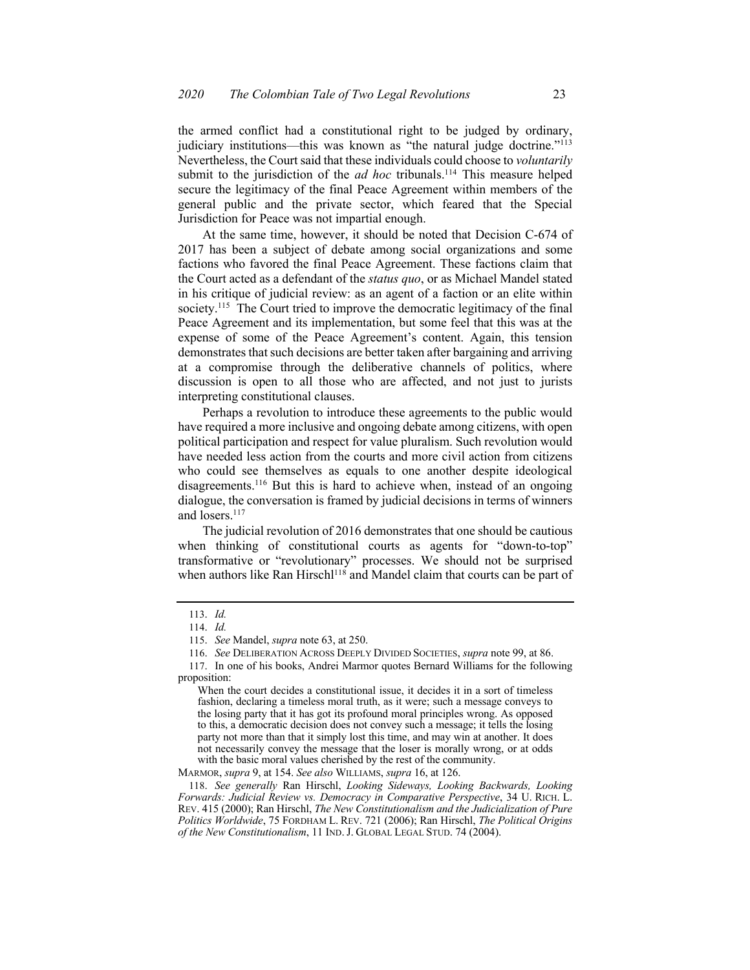the armed conflict had a constitutional right to be judged by ordinary, judiciary institutions—this was known as "the natural judge doctrine."<sup>113</sup> Nevertheless, the Court said that these individuals could choose to *voluntarily*  submit to the jurisdiction of the  $ad$  hoc tribunals.<sup>114</sup> This measure helped secure the legitimacy of the final Peace Agreement within members of the Jurisdiction for Peace was not impartial enough. general public and the private sector, which feared that the Special

 At the same time, however, it should be noted that Decision C-674 of 2017 has been a subject of debate among social organizations and some factions who favored the final Peace Agreement. These factions claim that the Court acted as a defendant of the *status quo*, or as Michael Mandel stated in his critique of judicial review: as an agent of a faction or an elite within society.<sup>115</sup> The Court tried to improve the democratic legitimacy of the final Peace Agreement and its implementation, but some feel that this was at the expense of some of the Peace Agreement's content. Again, this tension demonstrates that such decisions are better taken after bargaining and arriving at a compromise through the deliberative channels of politics, where discussion is open to all those who are affected, and not just to jurists interpreting constitutional clauses.

 political participation and respect for value pluralism. Such revolution would have needed less action from the courts and more civil action from citizens who could see themselves as equals to one another despite ideological disagreements.<sup>116</sup> But this is hard to achieve when, instead of an ongoing dialogue, the conversation is framed by judicial decisions in terms of winners Perhaps a revolution to introduce these agreements to the public would have required a more inclusive and ongoing debate among citizens, with open and losers.<sup>117</sup>

 The judicial revolution of 2016 demonstrates that one should be cautious when thinking of constitutional courts as agents for "down-to-top" J transformative or "revolutionary" processes. We should not be surprised when authors like Ran Hirschl<sup>118</sup> and Mandel claim that courts can be part of

<sup>113.</sup> *Id.* 

<sup>114.</sup> *Id.* 

 115. *See* Mandel, *supra* note 63, at 250.

 116. *See* DELIBERATION ACROSS DEEPLY DIVIDED SOCIETIES, *supra* note 99, at 86.

 117. In one of his books, Andrei Marmor quotes Bernard Williams for the following proposition:

 When the court decides a constitutional issue, it decides it in a sort of timeless fashion, declaring a timeless moral truth, as it were; such a message conveys to the losing party that it has got its profound moral principles wrong. As opposed to this, a democratic decision does not convey such a message; it tells the losing party not more than that it simply lost this time, and may win at another. It does not necessarily convey the message that the loser is morally wrong, or at odds with the basic moral values cherished by the rest of the community.

 MARMOR, *supra* 9, at 154. *See also* WILLIAMS, *supra* 16, at 126.

 118. *See generally* Ran Hirschl, *Looking Sideways, Looking Backwards, Looking Forwards: Judicial Review vs. Democracy in Comparative Perspective*, 34 U. RICH. L. REV. 415 (2000); Ran Hirschl, *The New Constitutionalism and the Judicialization of Pure Politics Worldwide*, 75 FORDHAM L. REV. 721 (2006); Ran Hirschl, *The Political Origins of the New Constitutionalism*, 11 IND. J. GLOBAL LEGAL STUD. 74 (2004).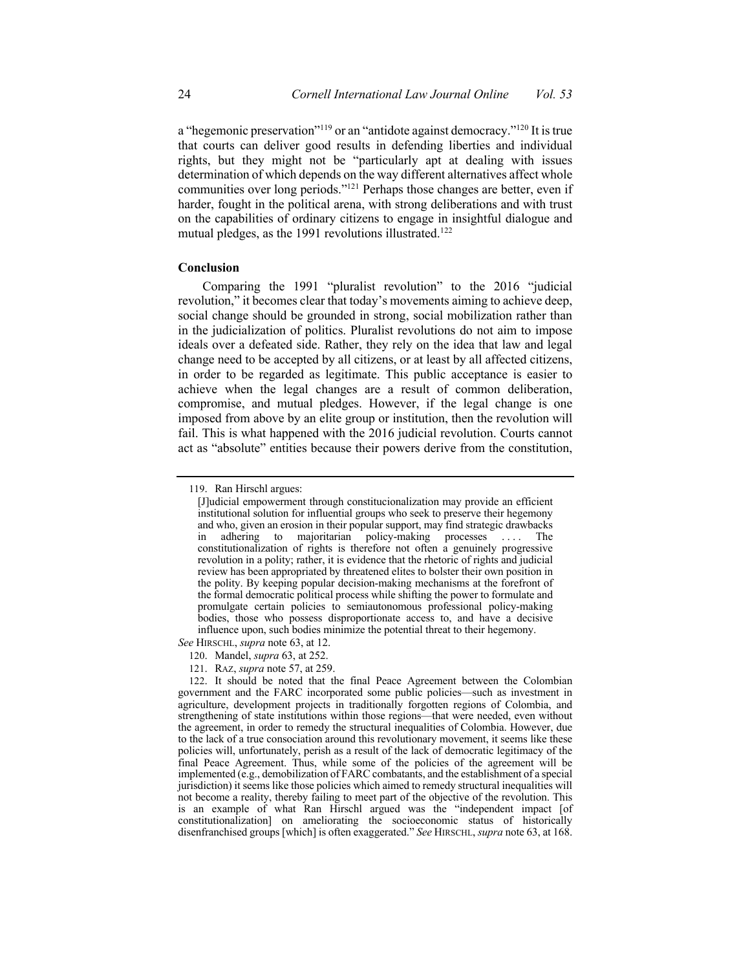that courts can deliver good results in defending liberties and individual rights, but they might not be "particularly apt at dealing with issues determination of which depends on the way different alternatives affect whole communities over long periods."<sup>121</sup> Perhaps those changes are better, even if harder, fought in the political arena, with strong deliberations and with trust on the capabilities of ordinary citizens to engage in insightful dialogue and mutual pledges, as the 1991 revolutions illustrated.<sup>122</sup> a "hegemonic preservation"<sup>119</sup> or an "antidote against democracy."<sup>120</sup> It is true

#### **Conclusion**

 Comparing the 1991 "pluralist revolution" to the 2016 "judicial revolution," it becomes clear that today's movements aiming to achieve deep, social change should be grounded in strong, social mobilization rather than in the judicialization of politics. Pluralist revolutions do not aim to impose ideals over a defeated side. Rather, they rely on the idea that law and legal change need to be accepted by all citizens, or at least by all affected citizens, in order to be regarded as legitimate. This public acceptance is easier to achieve when the legal changes are a result of common deliberation, compromise, and mutual pledges. However, if the legal change is one imposed from above by an elite group or institution, then the revolution will fail. This is what happened with the 2016 judicial revolution. Courts cannot act as "absolute" entities because their powers derive from the constitution,

*See* HIRSCHL, *supra* note 63, at 12.

121. RAZ, *supra* note 57, at 259.

 119. Ran Hirschl argues:

 [J]udicial empowerment through constitucionalization may provide an efficient institutional solution for influential groups who seek to preserve their hegemony and who, given an erosion in their popular support, may find strategic drawbacks revolution in a polity; rather, it is evidence that the rhetoric of rights and judicial review has been appropriated by threatened elites to bolster their own position in the polity. By keeping popular decision-making mechanisms at the forefront of the formal democratic political process while shifting the power to formulate and bodies, those who possess disproportionate access to, and have a decisive influence upon, such bodies minimize the potential threat to their hegemony. in adhering to majoritarian policy-making processes . . . . The constitutionalization of rights is therefore not often a genuinely progressive promulgate certain policies to semiautonomous professional policy-making

<sup>120.</sup> Mandel, *supra* 63, at 252.

 122. It should be noted that the final Peace Agreement between the Colombian government and the FARC incorporated some public policies—such as investment in agriculture, development projects in traditionally forgotten regions of Colombia, and strengthening of state institutions within those regions—that were needed, even without the agreement, in order to remedy the structural inequalities of Colombia. However, due to the lack of a true consociation around this revolutionary movement, it seems like these policies will, unfortunately, perish as a result of the lack of democratic legitimacy of the final Peace Agreement. Thus, while some of the policies of the agreement will be implemented (e.g., demobilization of FARC combatants, and the establishment of a special jurisdiction) it seems like those policies which aimed to remedy structural inequalities will not become a reality, thereby failing to meet part of the objective of the revolution. This is an example of what Ran Hirschl argued was the "independent impact [of constitutionalization] on ameliorating the socioeconomic status of historically disenfranchised groups [which] is often exaggerated." *See* HIRSCHL, *supra* note 63, at 168.